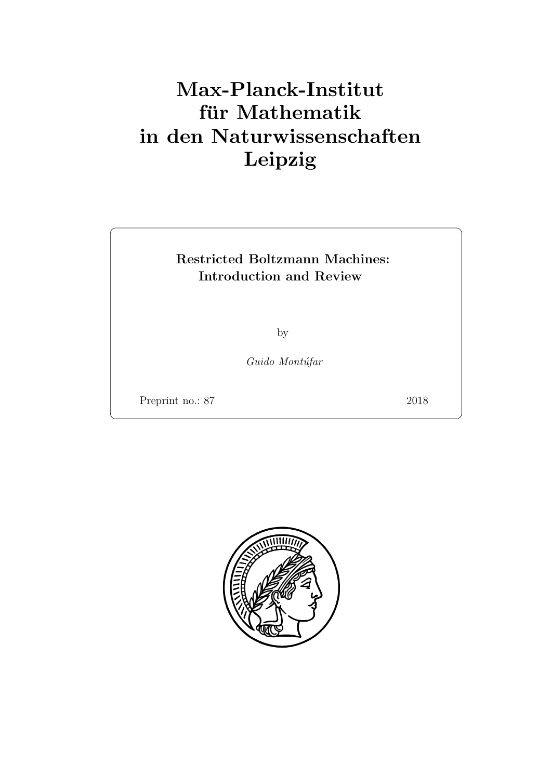# Max-Planck-Institut für Mathematik in den Naturwissenschaften Leipzig

# Restricted Boltzmann Machines: Introduction and Review

by

Guido Montúfar

Preprint no.: 87 2018

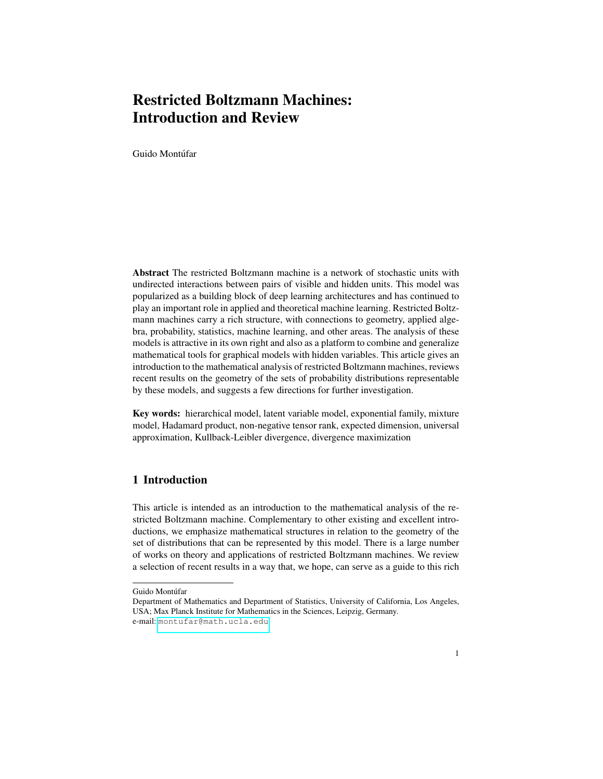# Restricted Boltzmann Machines: Introduction and Review

Guido Montúfar

Abstract The restricted Boltzmann machine is a network of stochastic units with undirected interactions between pairs of visible and hidden units. This model was popularized as a building block of deep learning architectures and has continued to play an important role in applied and theoretical machine learning. Restricted Boltzmann machines carry a rich structure, with connections to geometry, applied algebra, probability, statistics, machine learning, and other areas. The analysis of these models is attractive in its own right and also as a platform to combine and generalize mathematical tools for graphical models with hidden variables. This article gives an introduction to the mathematical analysis of restricted Boltzmann machines, reviews recent results on the geometry of the sets of probability distributions representable by these models, and suggests a few directions for further investigation.

Key words: hierarchical model, latent variable model, exponential family, mixture model, Hadamard product, non-negative tensor rank, expected dimension, universal approximation, Kullback-Leibler divergence, divergence maximization

# 1 Introduction

This article is intended as an introduction to the mathematical analysis of the restricted Boltzmann machine. Complementary to other existing and excellent introductions, we emphasize mathematical structures in relation to the geometry of the set of distributions that can be represented by this model. There is a large number of works on theory and applications of restricted Boltzmann machines. We review a selection of recent results in a way that, we hope, can serve as a guide to this rich

Guido Montúfar

Department of Mathematics and Department of Statistics, University of California, Los Angeles, USA; Max Planck Institute for Mathematics in the Sciences, Leipzig, Germany. e-mail: <montufar@math.ucla.edu>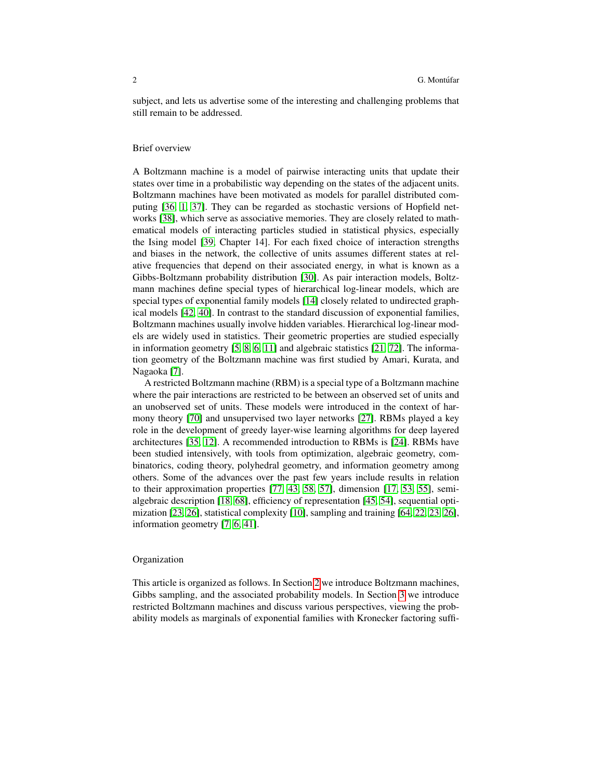subject, and lets us advertise some of the interesting and challenging problems that still remain to be addressed.

#### Brief overview

A Boltzmann machine is a model of pairwise interacting units that update their states over time in a probabilistic way depending on the states of the adjacent units. Boltzmann machines have been motivated as models for parallel distributed computing [\[36,](#page-40-0) [1,](#page-38-0) [37\]](#page-40-1). They can be regarded as stochastic versions of Hopfield networks [\[38\]](#page-40-2), which serve as associative memories. They are closely related to mathematical models of interacting particles studied in statistical physics, especially the Ising model [\[39,](#page-40-3) Chapter 14]. For each fixed choice of interaction strengths and biases in the network, the collective of units assumes different states at relative frequencies that depend on their associated energy, in what is known as a Gibbs-Boltzmann probability distribution [\[30\]](#page-40-4). As pair interaction models, Boltzmann machines define special types of hierarchical log-linear models, which are special types of exponential family models [\[14\]](#page-39-0) closely related to undirected graphical models [\[42,](#page-40-5) [40\]](#page-40-6). In contrast to the standard discussion of exponential families, Boltzmann machines usually involve hidden variables. Hierarchical log-linear models are widely used in statistics. Their geometric properties are studied especially in information geometry  $[5, 8, 6, 11]$  $[5, 8, 6, 11]$  $[5, 8, 6, 11]$  $[5, 8, 6, 11]$  and algebraic statistics  $[21, 72]$  $[21, 72]$ . The information geometry of the Boltzmann machine was first studied by Amari, Kurata, and Nagaoka [\[7\]](#page-39-6).

A restricted Boltzmann machine (RBM) is a special type of a Boltzmann machine where the pair interactions are restricted to be between an observed set of units and an unobserved set of units. These models were introduced in the context of harmony theory [\[70\]](#page-41-1) and unsupervised two layer networks [\[27\]](#page-39-7). RBMs played a key role in the development of greedy layer-wise learning algorithms for deep layered architectures [\[35,](#page-40-7) [12\]](#page-39-8). A recommended introduction to RBMs is [\[24\]](#page-39-9). RBMs have been studied intensively, with tools from optimization, algebraic geometry, combinatorics, coding theory, polyhedral geometry, and information geometry among others. Some of the advances over the past few years include results in relation to their approximation properties [\[77,](#page-42-0) [43,](#page-40-8) [58,](#page-41-2) [57\]](#page-41-3), dimension [\[17,](#page-39-10) [53,](#page-41-4) [55\]](#page-41-5), semialgebraic description [\[18,](#page-39-11) [68\]](#page-41-6), efficiency of representation [\[45,](#page-40-9) [54\]](#page-41-7), sequential optimization [\[23,](#page-39-12) [26\]](#page-39-13), statistical complexity [\[10\]](#page-39-14), sampling and training [\[64,](#page-41-8) [22,](#page-39-15) [23,](#page-39-12) [26\]](#page-39-13), information geometry [\[7,](#page-39-6) [6,](#page-39-3) [41\]](#page-40-10).

#### Organization

This article is organized as follows. In Section [2](#page-4-0) we introduce Boltzmann machines, Gibbs sampling, and the associated probability models. In Section [3](#page-7-0) we introduce restricted Boltzmann machines and discuss various perspectives, viewing the probability models as marginals of exponential families with Kronecker factoring suffi-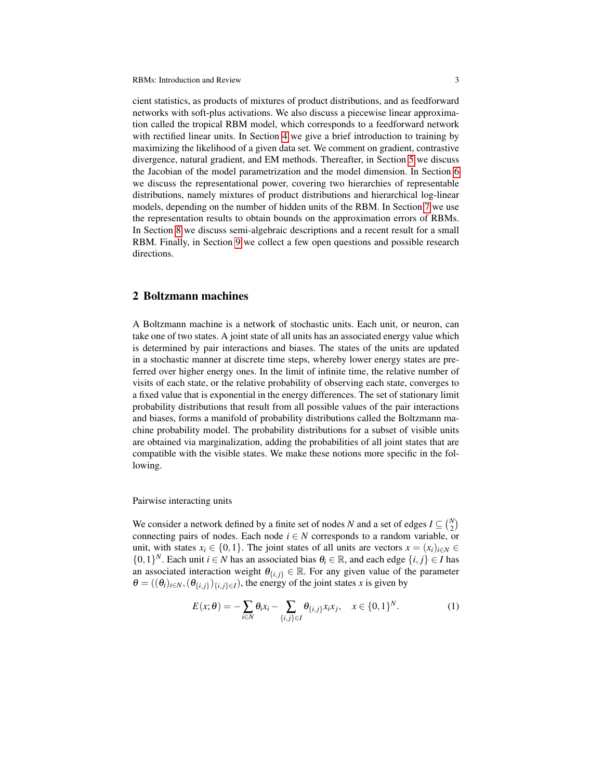cient statistics, as products of mixtures of product distributions, and as feedforward networks with soft-plus activations. We also discuss a piecewise linear approximation called the tropical RBM model, which corresponds to a feedforward network with rectified linear units. In Section [4](#page-15-0) we give a brief introduction to training by maximizing the likelihood of a given data set. We comment on gradient, contrastive divergence, natural gradient, and EM methods. Thereafter, in Section [5](#page-21-0) we discuss the Jacobian of the model parametrization and the model dimension. In Section [6](#page-24-0) we discuss the representational power, covering two hierarchies of representable distributions, namely mixtures of product distributions and hierarchical log-linear models, depending on the number of hidden units of the RBM. In Section [7](#page-31-0) we use the representation results to obtain bounds on the approximation errors of RBMs. In Section [8](#page-34-0) we discuss semi-algebraic descriptions and a recent result for a small RBM. Finally, in Section [9](#page-37-0) we collect a few open questions and possible research directions.

# <span id="page-4-0"></span>2 Boltzmann machines

A Boltzmann machine is a network of stochastic units. Each unit, or neuron, can take one of two states. A joint state of all units has an associated energy value which is determined by pair interactions and biases. The states of the units are updated in a stochastic manner at discrete time steps, whereby lower energy states are preferred over higher energy ones. In the limit of infinite time, the relative number of visits of each state, or the relative probability of observing each state, converges to a fixed value that is exponential in the energy differences. The set of stationary limit probability distributions that result from all possible values of the pair interactions and biases, forms a manifold of probability distributions called the Boltzmann machine probability model. The probability distributions for a subset of visible units are obtained via marginalization, adding the probabilities of all joint states that are compatible with the visible states. We make these notions more specific in the following.

Pairwise interacting units

We consider a network defined by a finite set of nodes *N* and a set of edges  $I \subseteq \binom{N}{2}$ connecting pairs of nodes. Each node  $i \in N$  corresponds to a random variable, or unit, with states  $x_i \in \{0,1\}$ . The joint states of all units are vectors  $x = (x_i)_{i \in \mathbb{N}} \in$ {0,1} *<sup>N</sup>*. Each unit *<sup>i</sup>* <sup>∈</sup> *<sup>N</sup>* has an associated bias <sup>θ</sup>*<sup>i</sup>* <sup>∈</sup> <sup>R</sup>, and each edge {*i*, *<sup>j</sup>*} ∈ *<sup>I</sup>* has an associated interaction weight  $\theta_{\{i,j\}} \in \mathbb{R}$ . For any given value of the parameter  $\theta = ((\theta_i)_{i \in N}, (\theta_{\{i,j\}})_{\{i,j\} \in I})$ , the energy of the joint states *x* is given by

<span id="page-4-1"></span>
$$
E(x; \theta) = -\sum_{i \in N} \theta_i x_i - \sum_{\{i, j\} \in I} \theta_{\{i, j\}} x_i x_j, \quad x \in \{0, 1\}^N.
$$
 (1)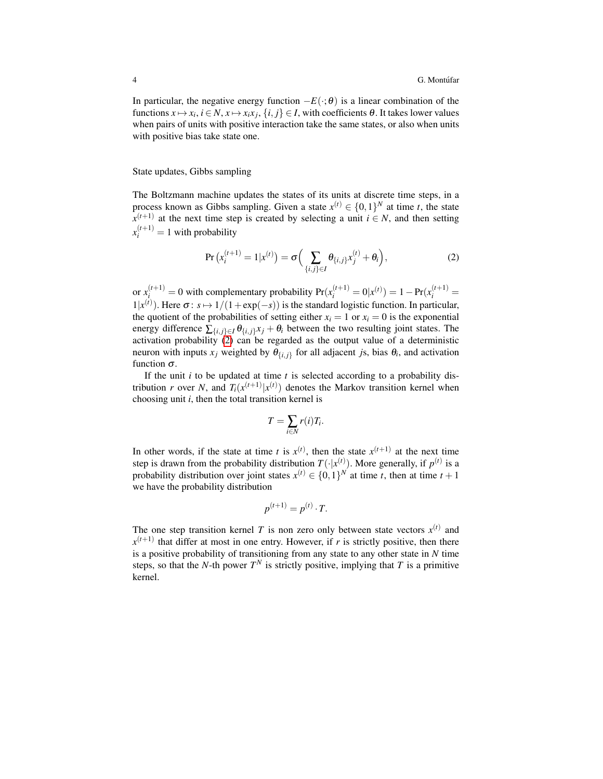In particular, the negative energy function  $-E(\cdot;\theta)$  is a linear combination of the functions  $x \mapsto x_i$ ,  $i \in \mathbb{N}, x \mapsto x_i x_j$ ,  $\{i, j\} \in \mathbb{I}$ , with coefficients  $\theta$ . It takes lower values when pairs of units with positive interaction take the same states, or also when units with positive bias take state one.

State updates, Gibbs sampling

The Boltzmann machine updates the states of its units at discrete time steps, in a process known as Gibbs sampling. Given a state  $x^{(t)} \in \{0,1\}^N$  at time *t*, the state  $x^{(t+1)}$  at the next time step is created by selecting a unit  $i \in N$ , and then setting  $x_i^{(t+1)} = 1$  with probability

<span id="page-5-0"></span>
$$
\Pr\left(x_i^{(t+1)} = 1 | x^{(t)}\right) = \sigma\Big(\sum_{\{i,j\} \in I} \theta_{\{i,j\}} x_j^{(t)} + \theta_i\Big),\tag{2}
$$

or  $x_i^{(t+1)} = 0$  with complementary probability  $Pr(x_i^{(t+1)} = 0 | x^{(t)}) = 1 - Pr(x_i^{(t+1)} = 0)$  $1|x^{(t)}|$ . Here  $\sigma: s \mapsto 1/(1+\exp(-s))$  is the standard logistic function. In particular, the quotient of the probabilities of setting either  $x_i = 1$  or  $x_i = 0$  is the exponential energy difference  $\sum_{\{i,j\}\in I} \theta_{\{i,j\}} x_j + \theta_i$  between the two resulting joint states. The activation probability [\(2\)](#page-5-0) can be regarded as the output value of a deterministic neuron with inputs  $x_j$  weighted by  $\theta_{\{i,j\}}$  for all adjacent *js*, bias  $\theta_i$ , and activation function  $\sigma$ .

If the unit *i* to be updated at time *t* is selected according to a probability distribution *r* over *N*, and  $T_i(x^{(t+1)}|x^{(t)})$  denotes the Markov transition kernel when choosing unit *i*, then the total transition kernel is

$$
T=\sum_{i\in N}r(i)T_i.
$$

In other words, if the state at time *t* is  $x^{(t)}$ , then the state  $x^{(t+1)}$  at the next time step is drawn from the probability distribution  $T(\cdot|x^{(t)})$ . More generally, if  $p^{(t)}$  is a probability distribution over joint states  $x^{(t)} \in \{0,1\}^N$  at time *t*, then at time  $t + 1$ we have the probability distribution

$$
p^{(t+1)} = p^{(t)} \cdot T.
$$

The one step transition kernel *T* is non zero only between state vectors  $x^{(t)}$  and  $x^{(t+1)}$  that differ at most in one entry. However, if *r* is strictly positive, then there is a positive probability of transitioning from any state to any other state in *N* time steps, so that the *N*-th power  $T^N$  is strictly positive, implying that *T* is a primitive kernel.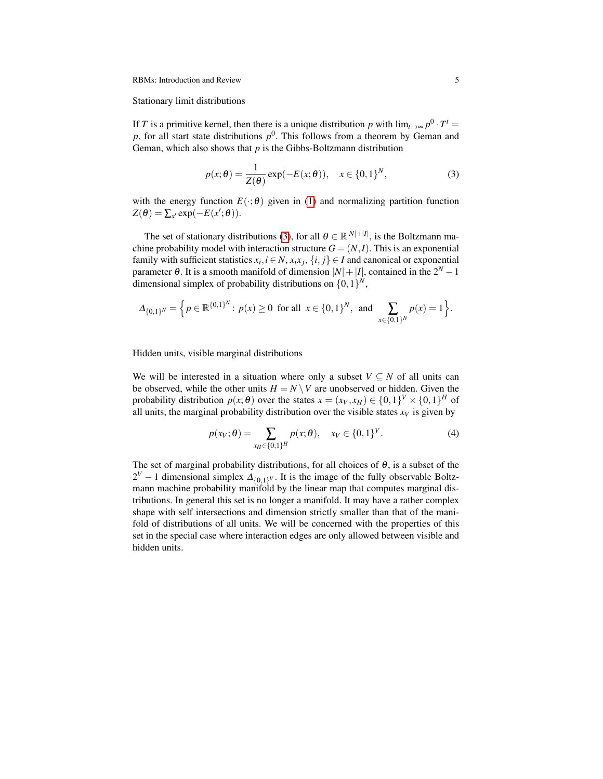Stationary limit distributions

If *T* is a primitive kernel, then there is a unique distribution *p* with  $\lim_{t\to\infty} p^0 \cdot T^t =$ p, for all start state distributions  $p^0$ . This follows from a theorem by Geman and Geman, which also shows that *p* is the Gibbs-Boltzmann distribution

<span id="page-6-0"></span>
$$
p(x; \theta) = \frac{1}{Z(\theta)} \exp(-E(x; \theta)), \quad x \in \{0, 1\}^N,
$$
 (3)

with the energy function  $E(\cdot;\theta)$  given in [\(1\)](#page-4-1) and normalizing partition function  $Z(\theta) = \sum_{x'} \exp(-E(x';\theta)).$ 

The set of stationary distributions [\(3\)](#page-6-0), for all  $\theta \in \mathbb{R}^{|N|+|I|}$ , is the Boltzmann machine probability model with interaction structure  $G = (N, I)$ . This is an exponential family with sufficient statistics  $x_i, i \in \mathbb{N}$ ,  $x_i x_j, \{i, j\} \in I$  and canonical or exponential parameter  $\theta$ . It is a smooth manifold of dimension  $|N|+|I|$ , contained in the  $2^N-1$ dimensional simplex of probability distributions on  $\{0,1\}^N$ ,

$$
\Delta_{\{0,1\}^N} = \left\{ p \in \mathbb{R}^{\{0,1\}^N} \colon p(x) \ge 0 \text{ for all } x \in \{0,1\}^N, \text{ and } \sum_{x \in \{0,1\}^N} p(x) = 1 \right\}.
$$

Hidden units, visible marginal distributions

We will be interested in a situation where only a subset  $V \subseteq N$  of all units can be observed, while the other units  $H = N \setminus V$  are unobserved or hidden. Given the probability distribution  $p(x; \theta)$  over the states  $x = (x_V, x_H) \in \{0, 1\}^V \times \{0, 1\}^H$  of all units, the marginal probability distribution over the visible states  $x_V$  is given by

$$
p(x_V; \theta) = \sum_{x_H \in \{0, 1\}^H} p(x; \theta), \quad x_V \in \{0, 1\}^V.
$$
 (4)

The set of marginal probability distributions, for all choices of  $\theta$ , is a subset of the  $2^V - 1$  dimensional simplex  $\Delta_{\{0,1\}^V}$ . It is the image of the fully observable Boltzmann machine probability manifold by the linear map that computes marginal distributions. In general this set is no longer a manifold. It may have a rather complex shape with self intersections and dimension strictly smaller than that of the manifold of distributions of all units. We will be concerned with the properties of this set in the special case where interaction edges are only allowed between visible and hidden units.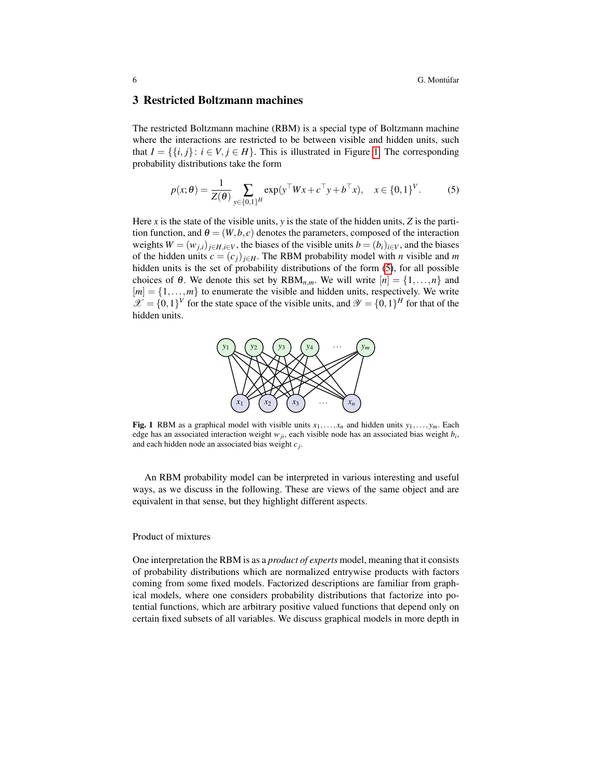### <span id="page-7-0"></span>3 Restricted Boltzmann machines

The restricted Boltzmann machine (RBM) is a special type of Boltzmann machine where the interactions are restricted to be between visible and hidden units, such that  $I = \{\{i, j\} : i \in V, j \in H\}$ . This is illustrated in Figure [1.](#page-7-1) The corresponding probability distributions take the form

<span id="page-7-2"></span>
$$
p(x; \theta) = \frac{1}{Z(\theta)} \sum_{y \in \{0, 1\}^H} \exp(y^{\top} W x + c^{\top} y + b^{\top} x), \quad x \in \{0, 1\}^V. \tag{5}
$$

Here *x* is the state of the visible units, *y* is the state of the hidden units, *Z* is the partition function, and  $\theta = (W, b, c)$  denotes the parameters, composed of the interaction weights  $W = (w_{i,i})_{i \in H, i \in V}$ , the biases of the visible units  $b = (b_i)_{i \in V}$ , and the biases of the hidden units  $c = (c_j)_{j \in H}$ . The RBM probability model with *n* visible and *m* hidden units is the set of probability distributions of the form [\(5\)](#page-7-2), for all possible choices of  $\theta$ . We denote this set by RBM<sub>*n,m*</sub>. We will write  $[n] = \{1, \ldots, n\}$  and  $[m] = \{1, \ldots, m\}$  to enumerate the visible and hidden units, respectively. We write  $\mathscr{X} = \{0,1\}^V$  for the state space of the visible units, and  $\mathscr{Y} = \{0,1\}^H$  for that of the hidden units.



<span id="page-7-1"></span>**Fig. 1** RBM as a graphical model with visible units  $x_1, \ldots, x_n$  and hidden units  $y_1, \ldots, y_m$ . Each edge has an associated interaction weight  $w_{ji}$ , each visible node has an associated bias weight  $b_i$ , and each hidden node an associated bias weight *c <sup>j</sup>* .

An RBM probability model can be interpreted in various interesting and useful ways, as we discuss in the following. These are views of the same object and are equivalent in that sense, but they highlight different aspects.

#### Product of mixtures

One interpretation the RBM is as a *product of experts* model, meaning that it consists of probability distributions which are normalized entrywise products with factors coming from some fixed models. Factorized descriptions are familiar from graphical models, where one considers probability distributions that factorize into potential functions, which are arbitrary positive valued functions that depend only on certain fixed subsets of all variables. We discuss graphical models in more depth in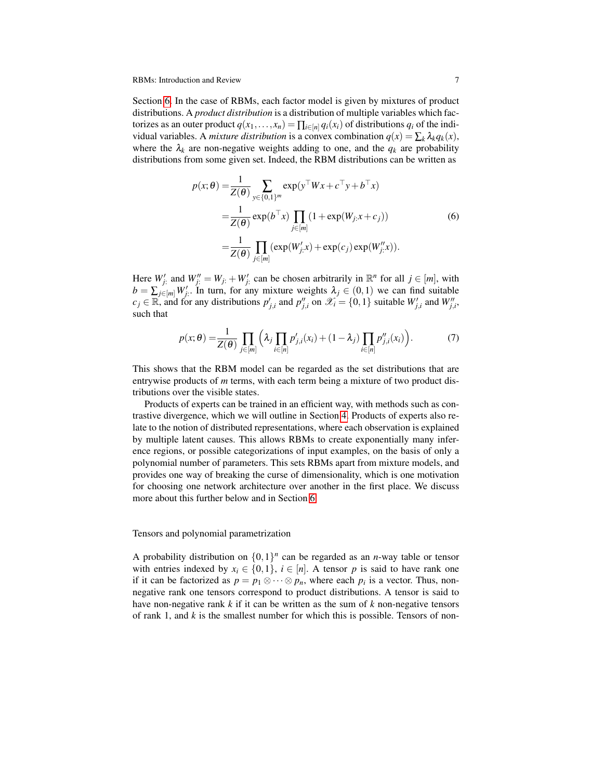Section [6.](#page-26-0) In the case of RBMs, each factor model is given by mixtures of product distributions. A *product distribution* is a distribution of multiple variables which factorizes as an outer product  $q(x_1,...,x_n) = \prod_{i \in [n]} q_i(x_i)$  of distributions  $q_i$  of the individual variables. A *mixture distribution* is a convex combination  $q(x) = \sum_k \lambda_k q_k(x)$ , where the  $\lambda_k$  are non-negative weights adding to one, and the  $q_k$  are probability distributions from some given set. Indeed, the RBM distributions can be written as

$$
p(x; \theta) = \frac{1}{Z(\theta)} \sum_{y \in \{0, 1\}^m} \exp(y^{\top} W x + c^{\top} y + b^{\top} x)
$$
  

$$
= \frac{1}{Z(\theta)} \exp(b^{\top} x) \prod_{j \in [m]} (1 + \exp(W_j x + c_j))
$$
(6)  

$$
= \frac{1}{Z(\theta)} \prod_{j \in [m]} (\exp(W'_j x) + \exp(c_j) \exp(W''_j x)).
$$

Here  $W'_{j}$ : and  $W''_{j} = W_{j} + W'_{j}$ : can be chosen arbitrarily in  $\mathbb{R}^{n}$  for all  $j \in [m]$ , with  $b = \sum_{j \in [m]} W'_j$ . In turn, for any mixture weights  $\lambda_j \in (0,1)$  we can find suitable  $c_j \in \mathbb{R}$ , and for any distributions  $p'_{j,i}$  and  $p''_{j,i}$  on  $\mathcal{X}_i = \{0,1\}$  suitable  $W'_{j,i}$  and  $W''_{j,i}$ , such that

$$
p(x; \theta) = \frac{1}{Z(\theta)} \prod_{j \in [m]} \left( \lambda_j \prod_{i \in [n]} p'_{j,i}(x_i) + (1 - \lambda_j) \prod_{i \in [n]} p''_{j,i}(x_i) \right).
$$
 (7)

This shows that the RBM model can be regarded as the set distributions that are entrywise products of *m* terms, with each term being a mixture of two product distributions over the visible states.

Products of experts can be trained in an efficient way, with methods such as contrastive divergence, which we will outline in Section [4.](#page-15-0) Products of experts also relate to the notion of distributed representations, where each observation is explained by multiple latent causes. This allows RBMs to create exponentially many inference regions, or possible categorizations of input examples, on the basis of only a polynomial number of parameters. This sets RBMs apart from mixture models, and provides one way of breaking the curse of dimensionality, which is one motivation for choosing one network architecture over another in the first place. We discuss more about this further below and in Section [6.](#page-24-0)

#### Tensors and polynomial parametrization

A probability distribution on  $\{0,1\}^n$  can be regarded as an *n*-way table or tensor with entries indexed by  $x_i \in \{0,1\}$ ,  $i \in [n]$ . A tensor p is said to have rank one if it can be factorized as  $p = p_1 \otimes \cdots \otimes p_n$ , where each  $p_i$  is a vector. Thus, nonnegative rank one tensors correspond to product distributions. A tensor is said to have non-negative rank *k* if it can be written as the sum of *k* non-negative tensors of rank 1, and *k* is the smallest number for which this is possible. Tensors of non-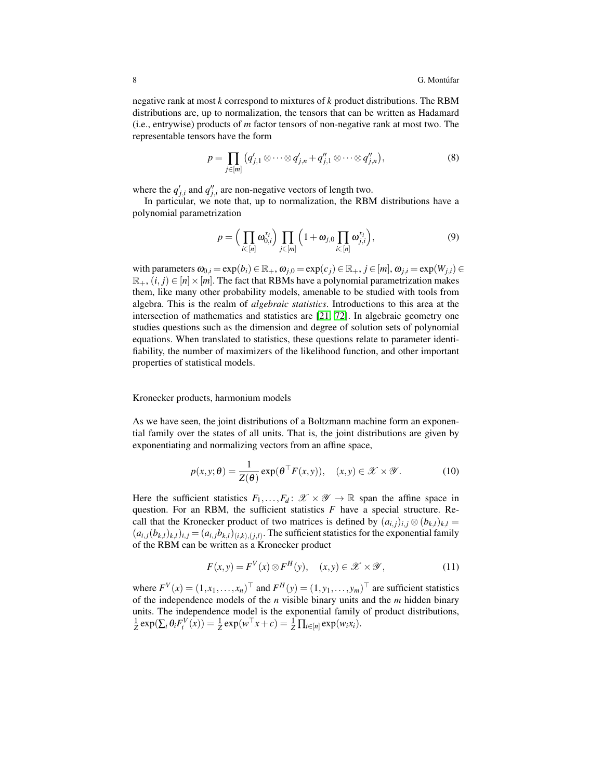#### 8 G. Montúfar

negative rank at most *k* correspond to mixtures of *k* product distributions. The RBM distributions are, up to normalization, the tensors that can be written as Hadamard (i.e., entrywise) products of *m* factor tensors of non-negative rank at most two. The representable tensors have the form

$$
p = \prod_{j \in [m]} (q'_{j,1} \otimes \cdots \otimes q'_{j,n} + q''_{j,1} \otimes \cdots \otimes q''_{j,n}),
$$
\n(8)

where the  $q'_{j,i}$  and  $q''_{j,i}$  are non-negative vectors of length two.

In particular, we note that, up to normalization, the RBM distributions have a polynomial parametrization

$$
p = \left(\prod_{i \in [n]} \omega_{0,i}^{x_i}\right) \prod_{j \in [m]} \left(1 + \omega_{j,0} \prod_{i \in [n]} \omega_{j,i}^{x_i}\right),\tag{9}
$$

with parameters  $\omega_{0,i} = \exp(b_i) \in \mathbb{R}_+, \omega_{j,0} = \exp(c_j) \in \mathbb{R}_+, j \in [m], \omega_{j,i} = \exp(W_{j,i}) \in$  $\mathbb{R}_+$ ,  $(i, j) \in [n] \times [m]$ . The fact that RBMs have a polynomial parametrization makes them, like many other probability models, amenable to be studied with tools from algebra. This is the realm of *algebraic statistics*. Introductions to this area at the intersection of mathematics and statistics are [\[21,](#page-39-5) [72\]](#page-41-0). In algebraic geometry one studies questions such as the dimension and degree of solution sets of polynomial equations. When translated to statistics, these questions relate to parameter identifiability, the number of maximizers of the likelihood function, and other important properties of statistical models.

Kronecker products, harmonium models

As we have seen, the joint distributions of a Boltzmann machine form an exponential family over the states of all units. That is, the joint distributions are given by exponentiating and normalizing vectors from an affine space,

$$
p(x, y; \theta) = \frac{1}{Z(\theta)} \exp(\theta^\top F(x, y)), \quad (x, y) \in \mathcal{X} \times \mathcal{Y}.
$$
 (10)

Here the sufficient statistics  $F_1, \ldots, F_d$ :  $\mathscr{X} \times \mathscr{Y} \to \mathbb{R}$  span the affine space in question. For an RBM, the sufficient statistics *F* have a special structure. Recall that the Kronecker product of two matrices is defined by  $(a_{i,j})_{i,j} \otimes (b_{k,l})_{k,l} =$  $(a_{i,j}(b_{k,l})_{k,l})_{i,j} = (a_{i,j}b_{k,l})_{(i,k),(j,l)}$ . The sufficient statistics for the exponential family of the RBM can be written as a Kronecker product

$$
F(x, y) = F^{V}(x) \otimes F^{H}(y), \quad (x, y) \in \mathcal{X} \times \mathcal{Y}, \tag{11}
$$

where  $F^V(x) = (1, x_1, \dots, x_n)^\top$  and  $F^H(y) = (1, y_1, \dots, y_m)^\top$  are sufficient statistics of the independence models of the *n* visible binary units and the *m* hidden binary units. The independence model is the exponential family of product distributions,  $\frac{1}{Z} \exp(\sum_i \theta_i F_i^V(x)) = \frac{1}{Z} \exp(w^\top x + c) = \frac{1}{Z} \prod_{i \in [n]} \exp(w_i x_i).$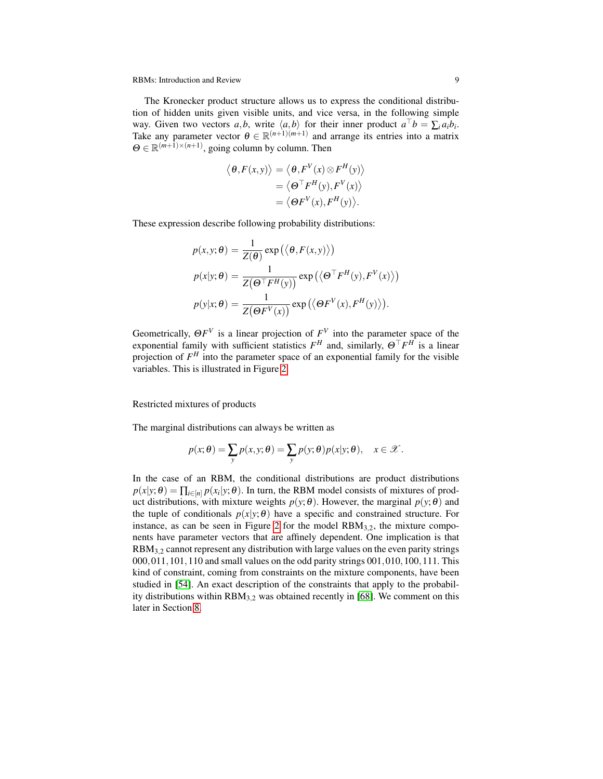The Kronecker product structure allows us to express the conditional distribution of hidden units given visible units, and vice versa, in the following simple way. Given two vectors  $a,b$ , write  $\langle a,b \rangle$  for their inner product  $a^{\dagger}b = \sum_{i} a_{i}b_{i}$ . Take any parameter vector  $\theta \in \mathbb{R}^{(n+1)(m+1)}$  and arrange its entries into a matrix  $\Theta \in \mathbb{R}^{(m+1)\times(n+1)}$ , going column by column. Then

$$
\langle \theta, F(x, y) \rangle = \langle \theta, F^V(x) \otimes F^H(y) \rangle \n= \langle \Theta^{\top} F^H(y), F^V(x) \rangle \n= \langle \Theta F^V(x), F^H(y) \rangle.
$$

These expression describe following probability distributions:

$$
p(x, y; \theta) = \frac{1}{Z(\theta)} \exp\left(\langle \theta, F(x, y) \rangle\right)
$$

$$
p(x|y; \theta) = \frac{1}{Z(\Theta^{\top} F^H(y))} \exp\left(\langle \Theta^{\top} F^H(y), F^V(x) \rangle\right)
$$

$$
p(y|x; \theta) = \frac{1}{Z(\Theta F^V(x))} \exp\left(\langle \Theta F^V(x), F^H(y) \rangle\right).
$$

Geometrically,  $\Theta F^V$  is a linear projection of  $F^V$  into the parameter space of the exponential family with sufficient statistics  $F^H$  and, similarly,  $\Theta^\top F^H$  is a linear projection of  $F<sup>H</sup>$  into the parameter space of an exponential family for the visible variables. This is illustrated in Figure [2.](#page-11-0)

Restricted mixtures of products

The marginal distributions can always be written as

$$
p(x; \theta) = \sum_{y} p(x, y; \theta) = \sum_{y} p(y; \theta) p(x|y; \theta), \quad x \in \mathcal{X}.
$$

In the case of an RBM, the conditional distributions are product distributions  $p(x|y;\theta) = \prod_{i \in [n]} p(x_i|y;\theta)$ . In turn, the RBM model consists of mixtures of product distributions, with mixture weights  $p(y; \theta)$ . However, the marginal  $p(y; \theta)$  and the tuple of conditionals  $p(x|y; \theta)$  have a specific and constrained structure. For instance, as can be seen in Figure [2](#page-11-0) for the model  $RBM<sub>3.2</sub>$ , the mixture components have parameter vectors that are affinely dependent. One implication is that RBM<sub>3,2</sub> cannot represent any distribution with large values on the even parity strings 000,011,101,110 and small values on the odd parity strings 001,010,100,111. This kind of constraint, coming from constraints on the mixture components, have been studied in [\[54\]](#page-41-7). An exact description of the constraints that apply to the probability distributions within  $RBM_{3,2}$  was obtained recently in [\[68\]](#page-41-6). We comment on this later in Section [8.](#page-34-0)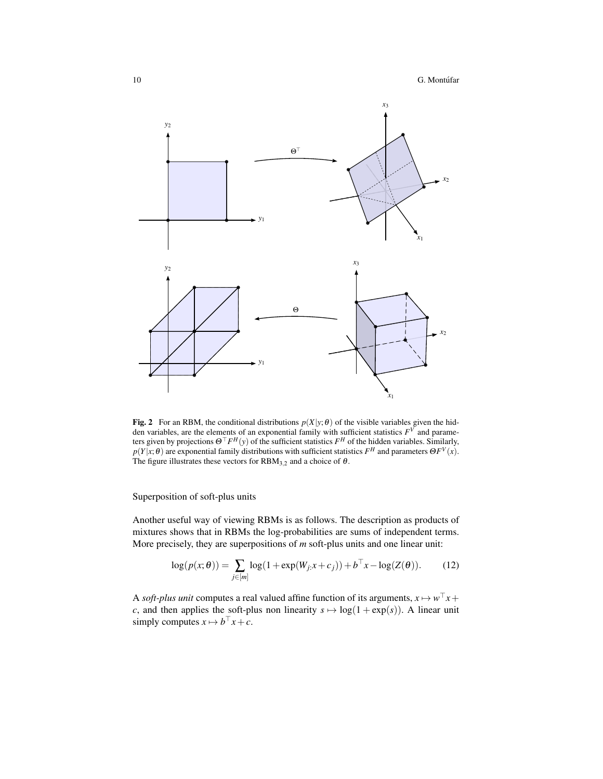

<span id="page-11-0"></span>**Fig. 2** For an RBM, the conditional distributions  $p(X|y; \theta)$  of the visible variables given the hidden variables, are the elements of an exponential family with sufficient statistics  $F<sup>V</sup>$  and parameters given by projections  $\Theta^\top F^H(y)$  of the sufficient statistics  $F^H$  of the hidden variables. Similarly,  $p(Y|x; \theta)$  are exponential family distributions with sufficient statistics  $F^H$  and parameters  $\Theta F^V(x)$ . The figure illustrates these vectors for  $RBM_{3,2}$  and a choice of  $\theta$ .

Superposition of soft-plus units

Another useful way of viewing RBMs is as follows. The description as products of mixtures shows that in RBMs the log-probabilities are sums of independent terms. More precisely, they are superpositions of *m* soft-plus units and one linear unit:

<span id="page-11-1"></span>
$$
\log(p(x; \theta)) = \sum_{j \in [m]} \log(1 + \exp(W_j x + c_j)) + b^\top x - \log(Z(\theta)). \tag{12}
$$

A *soft-plus unit* computes a real valued affine function of its arguments,  $x \mapsto w^{\perp}x +$ *c*, and then applies the soft-plus non linearity  $s \mapsto \log(1 + \exp(s))$ . A linear unit simply computes  $x \mapsto b^{\dagger}x + c$ .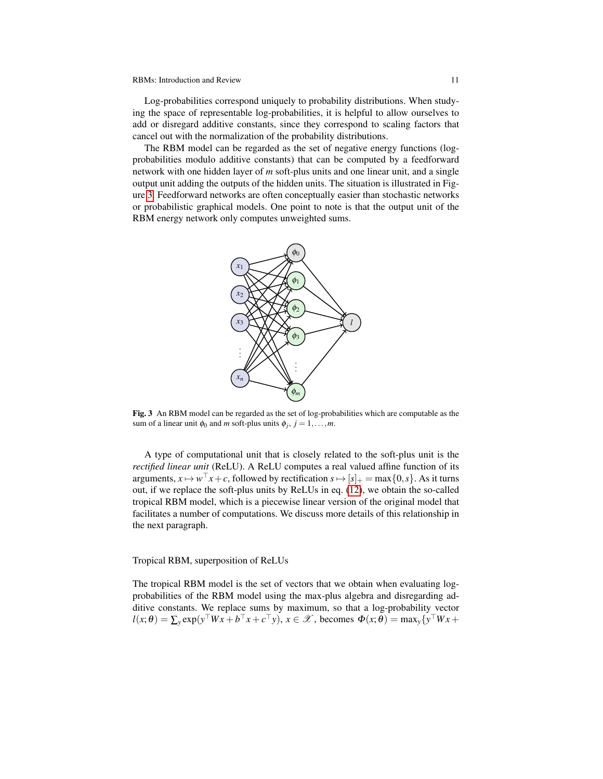Log-probabilities correspond uniquely to probability distributions. When studying the space of representable log-probabilities, it is helpful to allow ourselves to add or disregard additive constants, since they correspond to scaling factors that cancel out with the normalization of the probability distributions.

The RBM model can be regarded as the set of negative energy functions (logprobabilities modulo additive constants) that can be computed by a feedforward network with one hidden layer of *m* soft-plus units and one linear unit, and a single output unit adding the outputs of the hidden units. The situation is illustrated in Figure [3.](#page-12-0) Feedforward networks are often conceptually easier than stochastic networks or probabilistic graphical models. One point to note is that the output unit of the RBM energy network only computes unweighted sums.



<span id="page-12-0"></span>Fig. 3 An RBM model can be regarded as the set of log-probabilities which are computable as the sum of a linear unit  $\phi_0$  and *m* soft-plus units  $\phi_j$ ,  $j = 1, \ldots, m$ .

A type of computational unit that is closely related to the soft-plus unit is the *rectified linear unit* (ReLU). A ReLU computes a real valued affine function of its arguments,  $x \mapsto w^\top x + c$ , followed by rectification  $s \mapsto [s]_+ = \max\{0, s\}$ . As it turns out, if we replace the soft-plus units by ReLUs in eq. [\(12\)](#page-11-1), we obtain the so-called tropical RBM model, which is a piecewise linear version of the original model that facilitates a number of computations. We discuss more details of this relationship in the next paragraph.

#### Tropical RBM, superposition of ReLUs

The tropical RBM model is the set of vectors that we obtain when evaluating logprobabilities of the RBM model using the max-plus algebra and disregarding additive constants. We replace sums by maximum, so that a log-probability vector  $l(x; \theta) = \sum_{y} \exp(y^{\dagger} W x + b^{\dagger} x + c^{\dagger} y), x \in \mathcal{X}$ , becomes  $\Phi(x; \theta) = \max_{y} \{y^{\dagger} W x + c^{\dagger} y\}$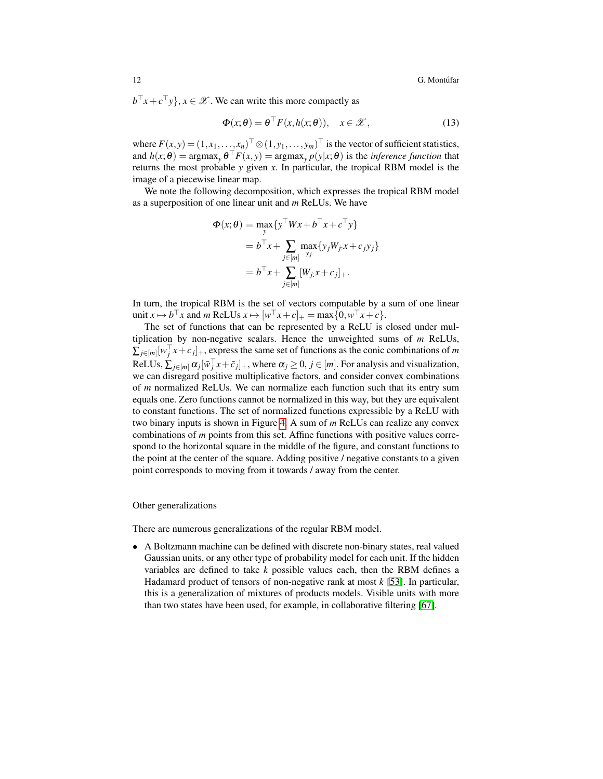12 G. Montufar

 $b<sup>T</sup> x + c<sup>T</sup> y$ ,  $x \in \mathcal{X}$ . We can write this more compactly as

$$
\Phi(x;\theta) = \theta^{\top} F(x,h(x;\theta)), \quad x \in \mathcal{X}, \tag{13}
$$

where  $F(x, y) = (1, x_1, \ldots, x_n)^\top \otimes (1, y_1, \ldots, y_m)^\top$  is the vector of sufficient statistics, and  $h(x; \theta) = \text{argmax}_y \theta \,^{\top} F(x, y) = \text{argmax}_y p(y|x; \theta)$  is the *inference function* that returns the most probable *y* given *x*. In particular, the tropical RBM model is the image of a piecewise linear map.

We note the following decomposition, which expresses the tropical RBM model as a superposition of one linear unit and *m* ReLUs. We have

$$
\Phi(x; \theta) = \max_{y} \{y^{\top}Wx + b^{\top}x + c^{\top}y\}
$$
  
=  $b^{\top}x + \sum_{j \in [m]} \max_{y_j} \{y_jW_{j}:x + c_jy_j\}$   
=  $b^{\top}x + \sum_{j \in [m]} [W_{j}:x + c_j]_{+}.$ 

In turn, the tropical RBM is the set of vectors computable by a sum of one linear unit  $x \mapsto b^{\top}x$  and *m* ReLUs  $x \mapsto [w^{\top}x + c]_+ = \max\{0, w^{\top}x + c\}.$ 

The set of functions that can be represented by a ReLU is closed under multiplication by non-negative scalars. Hence the unweighted sums of *m* ReLUs,  $\sum_{j \in [m]} [w_j^{\dagger} x + c_j]_+$ , express the same set of functions as the conic combinations of *m* ReLUs,  $\sum_{j \in [m]} \alpha_j [\bar{w}_j^{\dagger} x + \bar{c}_j]_+$ , where  $\alpha_j \ge 0$ ,  $j \in [m]$ . For analysis and visualization, we can disregard positive multiplicative factors, and consider convex combinations of *m* normalized ReLUs. We can normalize each function such that its entry sum equals one. Zero functions cannot be normalized in this way, but they are equivalent to constant functions. The set of normalized functions expressible by a ReLU with two binary inputs is shown in Figure [4.](#page-14-0) A sum of *m* ReLUs can realize any convex combinations of *m* points from this set. Affine functions with positive values correspond to the horizontal square in the middle of the figure, and constant functions to the point at the center of the square. Adding positive / negative constants to a given point corresponds to moving from it towards / away from the center.

Other generalizations

There are numerous generalizations of the regular RBM model.

• A Boltzmann machine can be defined with discrete non-binary states, real valued Gaussian units, or any other type of probability model for each unit. If the hidden variables are defined to take *k* possible values each, then the RBM defines a Hadamard product of tensors of non-negative rank at most *k* [\[53\]](#page-41-4). In particular, this is a generalization of mixtures of products models. Visible units with more than two states have been used, for example, in collaborative filtering [\[67\]](#page-41-9).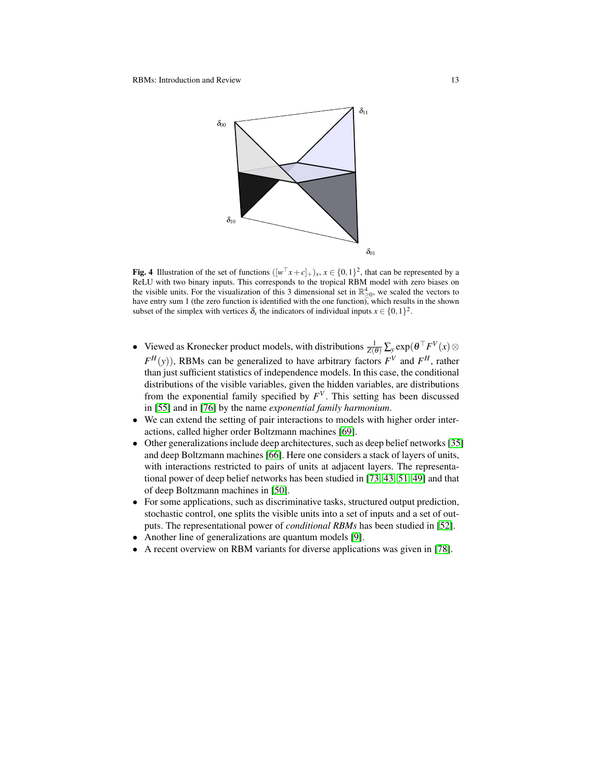

<span id="page-14-0"></span>Fig. 4 Illustration of the set of functions  $([\mathbf{w}^\top \mathbf{x} + c]_+)_x$ ,  $x \in \{0, 1\}^2$ , that can be represented by a ReLU with two binary inputs. This corresponds to the tropical RBM model with zero biases on the visible units. For the visualization of this 3 dimensional set in  $\mathbb{R}^4_{\geq 0}$ , we scaled the vectors to have entry sum 1 (the zero function is identified with the one function), which results in the shown subset of the simplex with vertices  $\delta_x$  the indicators of individual inputs  $x \in \{0,1\}^2$ .

- Viewed as Kronecker product models, with distributions  $\frac{1}{Z(\theta)}\sum_{y} \exp(\theta^T F^V(x))$  $F^H(y)$ ), RBMs can be generalized to have arbitrary factors  $F^V$  and  $F^H$ , rather than just sufficient statistics of independence models. In this case, the conditional distributions of the visible variables, given the hidden variables, are distributions from the exponential family specified by  $F<sup>V</sup>$ . This setting has been discussed in [\[55\]](#page-41-5) and in [\[76\]](#page-42-1) by the name *exponential family harmonium*.
- We can extend the setting of pair interactions to models with higher order interactions, called higher order Boltzmann machines [\[69\]](#page-41-10).
- Other generalizations include deep architectures, such as deep belief networks [\[35\]](#page-40-7) and deep Boltzmann machines [\[66\]](#page-41-11). Here one considers a stack of layers of units, with interactions restricted to pairs of units at adjacent layers. The representational power of deep belief networks has been studied in [\[73,](#page-41-12) [43,](#page-40-8) [51,](#page-40-11) [49\]](#page-40-12) and that of deep Boltzmann machines in [\[50\]](#page-40-13).
- For some applications, such as discriminative tasks, structured output prediction, stochastic control, one splits the visible units into a set of inputs and a set of outputs. The representational power of *conditional RBMs* has been studied in [\[52\]](#page-41-13).
- Another line of generalizations are quantum models [\[9\]](#page-39-16).
- A recent overview on RBM variants for diverse applications was given in [\[78\]](#page-42-2).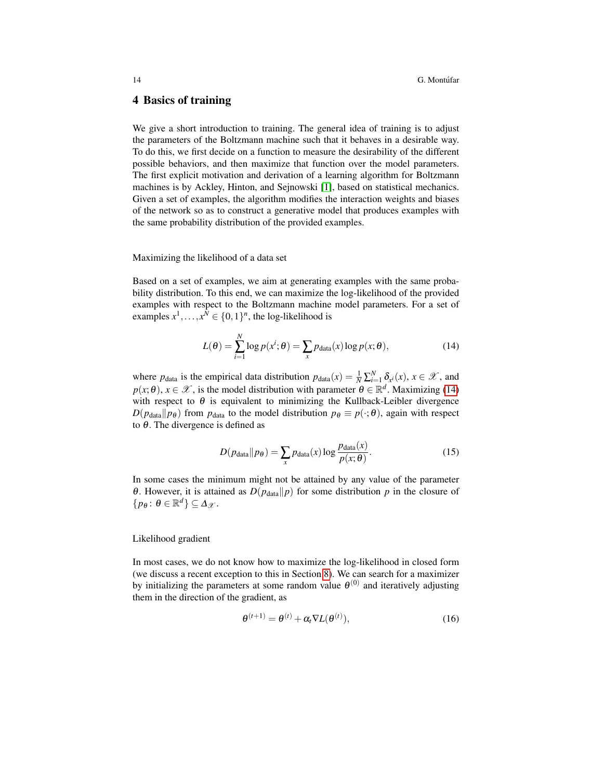# <span id="page-15-0"></span>4 Basics of training

We give a short introduction to training. The general idea of training is to adjust the parameters of the Boltzmann machine such that it behaves in a desirable way. To do this, we first decide on a function to measure the desirability of the different possible behaviors, and then maximize that function over the model parameters. The first explicit motivation and derivation of a learning algorithm for Boltzmann machines is by Ackley, Hinton, and Sejnowski [\[1\]](#page-38-0), based on statistical mechanics. Given a set of examples, the algorithm modifies the interaction weights and biases of the network so as to construct a generative model that produces examples with the same probability distribution of the provided examples.

#### Maximizing the likelihood of a data set

Based on a set of examples, we aim at generating examples with the same probability distribution. To this end, we can maximize the log-likelihood of the provided examples with respect to the Boltzmann machine model parameters. For a set of examples  $x^1, \ldots, x^N \in \{0, 1\}^n$ , the log-likelihood is

<span id="page-15-1"></span>
$$
L(\theta) = \sum_{i=1}^{N} \log p(x^i; \theta) = \sum_{x} p_{\text{data}}(x) \log p(x; \theta), \qquad (14)
$$

where  $p_{data}$  is the empirical data distribution  $p_{data}(x) = \frac{1}{N} \sum_{i=1}^{N} \delta_{x^{i}}(x), x \in \mathcal{X}$ , and  $p(x; \theta), x \in \mathcal{X}$ , is the model distribution with parameter  $\theta \in \mathbb{R}^d$ . Maximizing [\(14\)](#page-15-1) with respect to  $\theta$  is equivalent to minimizing the Kullback-Leibler divergence  $D(p_{data}||p_{\theta})$  from  $p_{data}$  to the model distribution  $p_{\theta} \equiv p(\cdot;\theta)$ , again with respect to θ. The divergence is defined as

$$
D(p_{\text{data}} \| p_{\theta}) = \sum_{x} p_{\text{data}}(x) \log \frac{p_{\text{data}}(x)}{p(x; \theta)}.
$$
 (15)

In some cases the minimum might not be attained by any value of the parameter θ. However, it is attained as  $D(p_{data}||p)$  for some distribution *p* in the closure of  $\{p_{\theta} : \theta \in \mathbb{R}^d\} \subseteq \Delta_{\mathscr{X}}.$ 

#### Likelihood gradient

In most cases, we do not know how to maximize the log-likelihood in closed form (we discuss a recent exception to this in Section [8\)](#page-34-0). We can search for a maximizer by initializing the parameters at some random value  $\theta^{(0)}$  and iteratively adjusting them in the direction of the gradient, as

$$
\boldsymbol{\theta}^{(t+1)} = \boldsymbol{\theta}^{(t)} + \alpha_t \nabla L(\boldsymbol{\theta}^{(t)}),
$$
\n(16)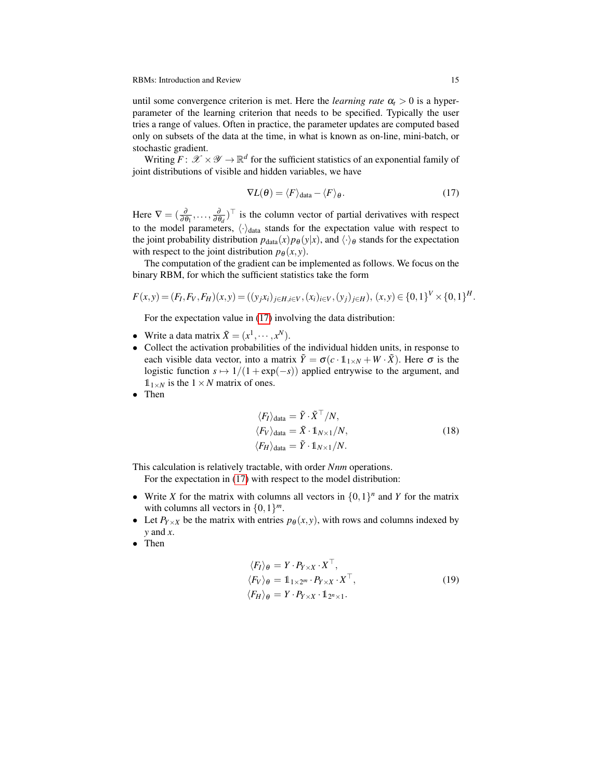until some convergence criterion is met. Here the *learning rate*  $\alpha_t > 0$  is a hyperparameter of the learning criterion that needs to be specified. Typically the user tries a range of values. Often in practice, the parameter updates are computed based only on subsets of the data at the time, in what is known as on-line, mini-batch, or stochastic gradient.

Writing  $F: \mathscr{X} \times \mathscr{Y} \to \mathbb{R}^d$  for the sufficient statistics of an exponential family of joint distributions of visible and hidden variables, we have

<span id="page-16-0"></span>
$$
\nabla L(\theta) = \langle F \rangle_{\text{data}} - \langle F \rangle_{\theta}.
$$
 (17)

Here  $\nabla = (\frac{\partial}{\partial \theta_1}, \dots, \frac{\partial}{\partial \theta_n})^\top$  is the column vector of partial derivatives with respect  $\mathbf{v} = (\partial_{\theta_1}, \dots, \partial_{\theta_d})$  is the column vector of partial derivatives with respect to the model parameters,  $\langle \cdot \rangle_{data}$  stands for the expectation value with respect to the joint probability distribution  $p_{data}(x)p_{\theta}(y|x)$ , and  $\langle \cdot \rangle_{\theta}$  stands for the expectation with respect to the joint distribution  $p_{\theta}(x, y)$ .

The computation of the gradient can be implemented as follows. We focus on the binary RBM, for which the sufficient statistics take the form

$$
F(x,y) = (F_I, F_V, F_H)(x,y) = ((y_j x_i)_{j \in H, i \in V}, (x_i)_{i \in V}, (y_j)_{j \in H}), (x,y) \in \{0,1\}^V \times \{0,1\}^H
$$

For the expectation value in [\(17\)](#page-16-0) involving the data distribution:

- Write a data matrix  $\tilde{X} = (x^1, \dots, x^N)$ .
- Collect the activation probabilities of the individual hidden units, in response to each visible data vector, into a matrix  $\tilde{Y} = \sigma(c \cdot 1_{1 \times N} + W \cdot \tilde{X})$ . Here  $\sigma$  is the logistic function  $s \mapsto 1/(1 + \exp(-s))$  applied entrywise to the argument, and  $1_{1\times N}$  is the  $1\times N$  matrix of ones.
- Then

<span id="page-16-1"></span>
$$
\langle F_I \rangle_{\text{data}} = \tilde{Y} \cdot \tilde{X}^\top / N,
$$
  

$$
\langle F_V \rangle_{\text{data}} = \tilde{X} \cdot 1_{N \times 1} / N,
$$
  

$$
\langle F_H \rangle_{\text{data}} = \tilde{Y} \cdot 1_{N \times 1} / N.
$$
 (18)

This calculation is relatively tractable, with order *Nnm* operations.

For the expectation in [\(17\)](#page-16-0) with respect to the model distribution:

- Write *X* for the matrix with columns all vectors in  $\{0,1\}^n$  and *Y* for the matrix with columns all vectors in  $\{0,1\}^m$ .
- Let  $P_{Y \times X}$  be the matrix with entries  $p_{\theta}(x, y)$ , with rows and columns indexed by *y* and *x*.
- Then

$$
\langle F_I \rangle_{\theta} = Y \cdot P_{Y \times X} \cdot X^{\top},
$$
  
\n
$$
\langle F_V \rangle_{\theta} = \mathbb{1}_{1 \times 2^m} \cdot P_{Y \times X} \cdot X^{\top},
$$
  
\n
$$
\langle F_H \rangle_{\theta} = Y \cdot P_{Y \times X} \cdot \mathbb{1}_{2^n \times 1}.
$$
\n(19)

.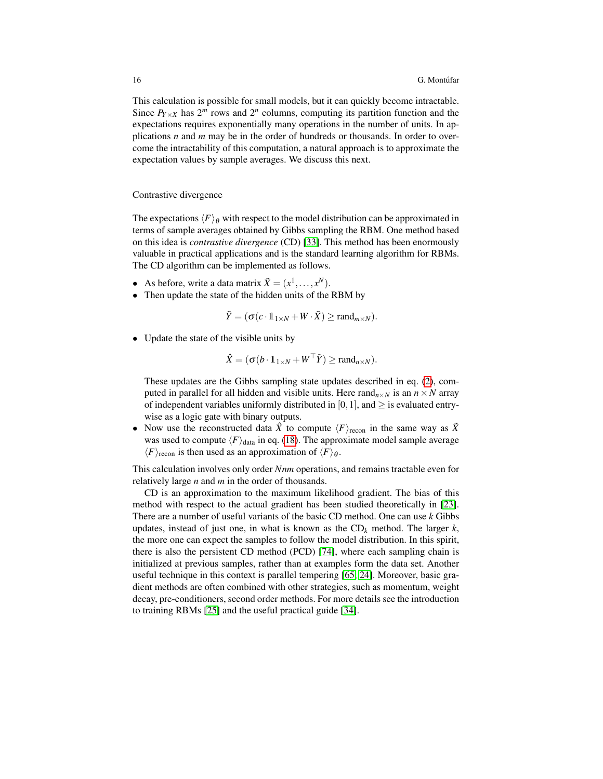This calculation is possible for small models, but it can quickly become intractable. Since  $P_{Y \times X}$  has  $2^m$  rows and  $2^n$  columns, computing its partition function and the expectations requires exponentially many operations in the number of units. In applications *n* and *m* may be in the order of hundreds or thousands. In order to overcome the intractability of this computation, a natural approach is to approximate the expectation values by sample averages. We discuss this next.

#### Contrastive divergence

The expectations  $\langle F \rangle_{\theta}$  with respect to the model distribution can be approximated in terms of sample averages obtained by Gibbs sampling the RBM. One method based on this idea is *contrastive divergence* (CD) [\[33\]](#page-40-14). This method has been enormously valuable in practical applications and is the standard learning algorithm for RBMs. The CD algorithm can be implemented as follows.

- As before, write a data matrix  $\tilde{X} = (x^1, \dots, x^N)$ .
- Then update the state of the hidden units of the RBM by

$$
\tilde{Y} = (\sigma(c \cdot 1_{1 \times N} + W \cdot \tilde{X}) \geq \text{rand}_{m \times N}).
$$

• Update the state of the visible units by

$$
\hat{X} = (\sigma(b \cdot \mathbb{1}_{1 \times N} + W^{\top} \tilde{Y}) \geq \text{rand}_{n \times N}).
$$

These updates are the Gibbs sampling state updates described in eq. [\(2\)](#page-5-0), computed in parallel for all hidden and visible units. Here rand $_{n\times N}$  is an  $n \times N$  array of independent variables uniformly distributed in [0, 1], and  $\geq$  is evaluated entrywise as a logic gate with binary outputs.

• Now use the reconstructed data  $\hat{X}$  to compute  $\langle F \rangle_{\text{recon}}$  in the same way as  $\tilde{X}$ was used to compute  $\langle F \rangle_{data}$  in eq. [\(18\)](#page-16-1). The approximate model sample average  $\langle F \rangle_{\text{recon}}$  is then used as an approximation of  $\langle F \rangle_{\theta}$ .

This calculation involves only order *Nnm* operations, and remains tractable even for relatively large *n* and *m* in the order of thousands.

CD is an approximation to the maximum likelihood gradient. The bias of this method with respect to the actual gradient has been studied theoretically in [\[23\]](#page-39-12). There are a number of useful variants of the basic CD method. One can use *k* Gibbs updates, instead of just one, in what is known as the  $CD_k$  method. The larger  $k$ , the more one can expect the samples to follow the model distribution. In this spirit, there is also the persistent CD method (PCD) [\[74\]](#page-41-14), where each sampling chain is initialized at previous samples, rather than at examples form the data set. Another useful technique in this context is parallel tempering [\[65,](#page-41-15) [24\]](#page-39-9). Moreover, basic gradient methods are often combined with other strategies, such as momentum, weight decay, pre-conditioners, second order methods. For more details see the introduction to training RBMs [\[25\]](#page-39-17) and the useful practical guide [\[34\]](#page-40-15).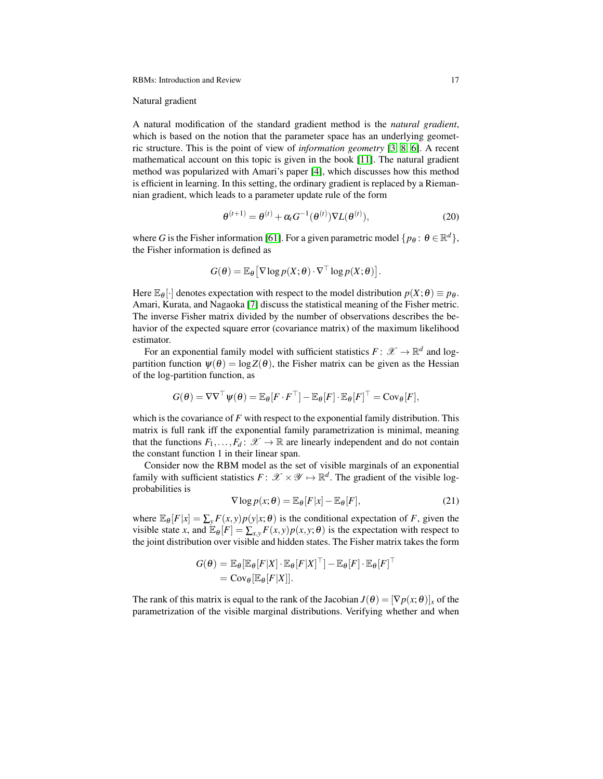#### Natural gradient

A natural modification of the standard gradient method is the *natural gradient*, which is based on the notion that the parameter space has an underlying geometric structure. This is the point of view of *information geometry* [\[3,](#page-38-1) [8,](#page-39-2) [6\]](#page-39-3). A recent mathematical account on this topic is given in the book [\[11\]](#page-39-4). The natural gradient method was popularized with Amari's paper [\[4\]](#page-39-18), which discusses how this method is efficient in learning. In this setting, the ordinary gradient is replaced by a Riemannian gradient, which leads to a parameter update rule of the form

$$
\boldsymbol{\theta}^{(t+1)} = \boldsymbol{\theta}^{(t)} + \alpha_t G^{-1}(\boldsymbol{\theta}^{(t)}) \nabla L(\boldsymbol{\theta}^{(t)}),
$$
\n(20)

where *G* is the Fisher information [\[61\]](#page-41-16). For a given parametric model  $\{p_{\theta} : \theta \in \mathbb{R}^d\}$ , the Fisher information is defined as

$$
G(\boldsymbol{\theta}) = \mathbb{E}_{\boldsymbol{\theta}} \big[ \nabla \log p(X; \boldsymbol{\theta}) \cdot \nabla^{\top} \log p(X; \boldsymbol{\theta}) \big].
$$

Here  $\mathbb{E}_{\theta}[\cdot]$  denotes expectation with respect to the model distribution  $p(X; \theta) \equiv p_{\theta}$ . Amari, Kurata, and Nagaoka [\[7\]](#page-39-6) discuss the statistical meaning of the Fisher metric. The inverse Fisher matrix divided by the number of observations describes the behavior of the expected square error (covariance matrix) of the maximum likelihood estimator.

For an exponential family model with sufficient statistics  $F: \mathcal{X} \to \mathbb{R}^d$  and logpartition function  $\psi(\theta) = \log Z(\theta)$ , the Fisher matrix can be given as the Hessian of the log-partition function, as

$$
G(\theta) = \nabla \nabla^{\top} \psi(\theta) = \mathbb{E}_{\theta}[F \cdot F^{\top}] - \mathbb{E}_{\theta}[F] \cdot \mathbb{E}_{\theta}[F]^{\top} = \text{Cov}_{\theta}[F],
$$

which is the covariance of *F* with respect to the exponential family distribution. This matrix is full rank iff the exponential family parametrization is minimal, meaning that the functions  $F_1, \ldots, F_d : \mathcal{X} \to \mathbb{R}$  are linearly independent and do not contain the constant function 1 in their linear span.

Consider now the RBM model as the set of visible marginals of an exponential family with sufficient statistics  $F: \mathscr{X} \times \mathscr{Y} \mapsto \mathbb{R}^d$ . The gradient of the visible logprobabilities is

$$
\nabla \log p(x; \theta) = \mathbb{E}_{\theta}[F|x] - \mathbb{E}_{\theta}[F],
$$
\n(21)

where  $\mathbb{E}_{\theta}[F|x] = \sum_{y} F(x, y)p(y|x; \theta)$  is the conditional expectation of *F*, given the visible state *x*, and  $\mathbb{E}_{\theta}[F] = \sum_{x,y} F(x,y) p(x,y;\theta)$  is the expectation with respect to the joint distribution over visible and hidden states. The Fisher matrix takes the form

$$
G(\theta) = \mathbb{E}_{\theta}[\mathbb{E}_{\theta}[F|X] \cdot \mathbb{E}_{\theta}[F|X]^{\top}] - \mathbb{E}_{\theta}[F] \cdot \mathbb{E}_{\theta}[F]^{\top}
$$
  
= Cov<sub>\theta</sub> [ $\mathbb{E}_{\theta}[F|X]$ ].

The rank of this matrix is equal to the rank of the Jacobian  $J(\theta) = [\nabla p(x; \theta)]_x$  of the parametrization of the visible marginal distributions. Verifying whether and when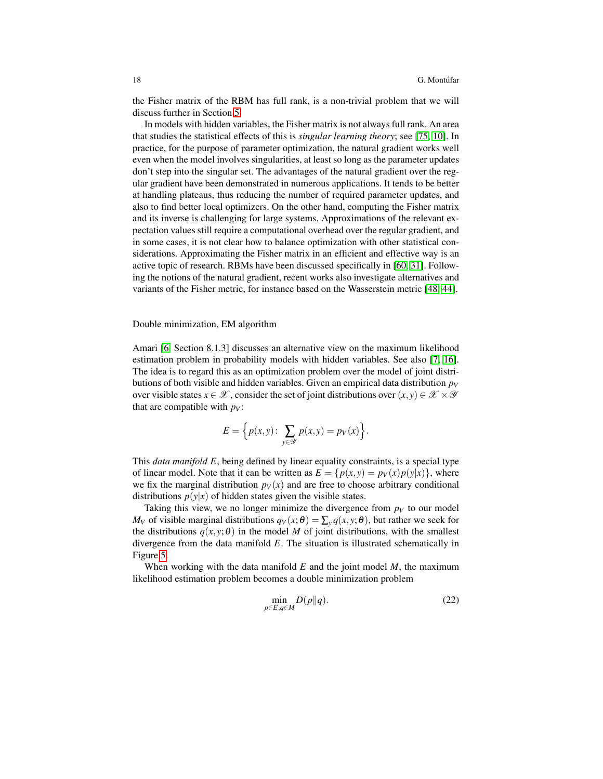the Fisher matrix of the RBM has full rank, is a non-trivial problem that we will discuss further in Section [5.](#page-21-0)

In models with hidden variables, the Fisher matrix is not always full rank. An area that studies the statistical effects of this is *singular learning theory*; see [\[75,](#page-41-17) [10\]](#page-39-14). In practice, for the purpose of parameter optimization, the natural gradient works well even when the model involves singularities, at least so long as the parameter updates don't step into the singular set. The advantages of the natural gradient over the regular gradient have been demonstrated in numerous applications. It tends to be better at handling plateaus, thus reducing the number of required parameter updates, and also to find better local optimizers. On the other hand, computing the Fisher matrix and its inverse is challenging for large systems. Approximations of the relevant expectation values still require a computational overhead over the regular gradient, and in some cases, it is not clear how to balance optimization with other statistical considerations. Approximating the Fisher matrix in an efficient and effective way is an active topic of research. RBMs have been discussed specifically in [\[60,](#page-41-18) [31\]](#page-40-16). Following the notions of the natural gradient, recent works also investigate alternatives and variants of the Fisher metric, for instance based on the Wasserstein metric [\[48,](#page-40-17) [44\]](#page-40-18).

#### Double minimization, EM algorithm

Amari [\[6,](#page-39-3) Section 8.1.3] discusses an alternative view on the maximum likelihood estimation problem in probability models with hidden variables. See also [\[7,](#page-39-6) [16\]](#page-39-19). The idea is to regard this as an optimization problem over the model of joint distributions of both visible and hidden variables. Given an empirical data distribution *p<sup>V</sup>* over visible states  $x \in \mathcal{X}$ , consider the set of joint distributions over  $(x, y) \in \mathcal{X} \times \mathcal{Y}$ that are compatible with  $p_V$ :

$$
E = \left\{ p(x, y) \colon \sum_{y \in \mathscr{Y}} p(x, y) = p_V(x) \right\}.
$$

This *data manifold E*, being defined by linear equality constraints, is a special type of linear model. Note that it can be written as  $E = \{p(x, y) = p_V(x)p(y|x)\}\$ , where we fix the marginal distribution  $p_V(x)$  and are free to choose arbitrary conditional distributions  $p(y|x)$  of hidden states given the visible states.

Taking this view, we no longer minimize the divergence from  $p_V$  to our model *M<sub>V</sub>* of visible marginal distributions  $q_V(x; \theta) = \sum_{y} q(x, y; \theta)$ , but rather we seek for the distributions  $q(x, y; \theta)$  in the model *M* of joint distributions, with the smallest divergence from the data manifold *E*. The situation is illustrated schematically in Figure [5.](#page-20-0)

When working with the data manifold *E* and the joint model *M*, the maximum likelihood estimation problem becomes a double minimization problem

<span id="page-19-0"></span>
$$
\min_{p \in E, q \in M} D(p \| q). \tag{22}
$$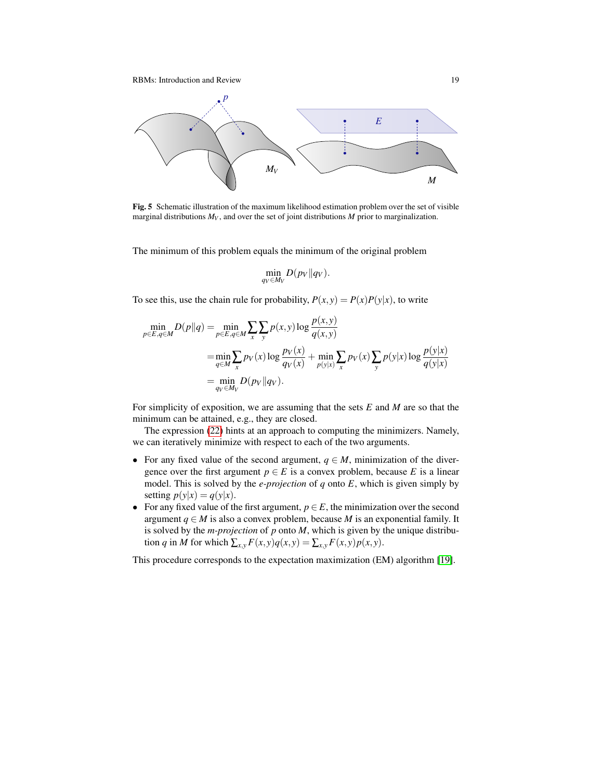

<span id="page-20-0"></span>Fig. 5 Schematic illustration of the maximum likelihood estimation problem over the set of visible marginal distributions  $M_V$ , and over the set of joint distributions  $M$  prior to marginalization.

The minimum of this problem equals the minimum of the original problem

$$
\min_{q_V \in M_V} D(p_V || q_V).
$$

To see this, use the chain rule for probability,  $P(x, y) = P(x)P(y|x)$ , to write

$$
\min_{p \in E, q \in M} D(p||q) = \min_{p \in E, q \in M} \sum_{x} \sum_{y} p(x, y) \log \frac{p(x, y)}{q(x, y)}
$$
\n
$$
= \min_{q \in M} \sum_{x} p_y(x) \log \frac{p_y(x)}{q_y(x)} + \min_{p(y|x)} \sum_{x} p_y(x) \sum_{y} p(y|x) \log \frac{p(y|x)}{q(y|x)}
$$
\n
$$
= \min_{q_y \in M_y} D(p_y || q_y).
$$

For simplicity of exposition, we are assuming that the sets *E* and *M* are so that the minimum can be attained, e.g., they are closed.

The expression [\(22\)](#page-19-0) hints at an approach to computing the minimizers. Namely, we can iteratively minimize with respect to each of the two arguments.

- For any fixed value of the second argument,  $q \in M$ , minimization of the divergence over the first argument  $p \in E$  is a convex problem, because *E* is a linear model. This is solved by the *e-projection* of *q* onto *E*, which is given simply by setting  $p(y|x) = q(y|x)$ .
- For any fixed value of the first argument,  $p \in E$ , the minimization over the second argument  $q \in M$  is also a convex problem, because M is an exponential family. It is solved by the *m-projection* of *p* onto *M*, which is given by the unique distribution *q* in *M* for which  $\sum_{x,y} F(x,y)q(x,y) = \sum_{x,y} F(x,y)p(x,y)$ .

This procedure corresponds to the expectation maximization (EM) algorithm [\[19\]](#page-39-20).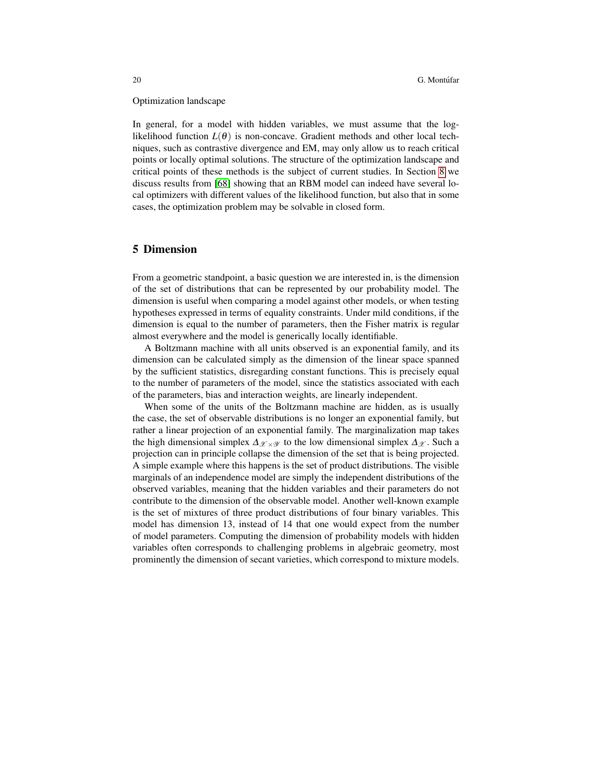#### Optimization landscape

In general, for a model with hidden variables, we must assume that the loglikelihood function  $L(\theta)$  is non-concave. Gradient methods and other local techniques, such as contrastive divergence and EM, may only allow us to reach critical points or locally optimal solutions. The structure of the optimization landscape and critical points of these methods is the subject of current studies. In Section [8](#page-34-0) we discuss results from [\[68\]](#page-41-6) showing that an RBM model can indeed have several local optimizers with different values of the likelihood function, but also that in some cases, the optimization problem may be solvable in closed form.

# <span id="page-21-0"></span>5 Dimension

From a geometric standpoint, a basic question we are interested in, is the dimension of the set of distributions that can be represented by our probability model. The dimension is useful when comparing a model against other models, or when testing hypotheses expressed in terms of equality constraints. Under mild conditions, if the dimension is equal to the number of parameters, then the Fisher matrix is regular almost everywhere and the model is generically locally identifiable.

A Boltzmann machine with all units observed is an exponential family, and its dimension can be calculated simply as the dimension of the linear space spanned by the sufficient statistics, disregarding constant functions. This is precisely equal to the number of parameters of the model, since the statistics associated with each of the parameters, bias and interaction weights, are linearly independent.

When some of the units of the Boltzmann machine are hidden, as is usually the case, the set of observable distributions is no longer an exponential family, but rather a linear projection of an exponential family. The marginalization map takes the high dimensional simplex  $\Delta_{\mathscr{X}\times\mathscr{Y}}$  to the low dimensional simplex  $\Delta_{\mathscr{X}}$ . Such a projection can in principle collapse the dimension of the set that is being projected. A simple example where this happens is the set of product distributions. The visible marginals of an independence model are simply the independent distributions of the observed variables, meaning that the hidden variables and their parameters do not contribute to the dimension of the observable model. Another well-known example is the set of mixtures of three product distributions of four binary variables. This model has dimension 13, instead of 14 that one would expect from the number of model parameters. Computing the dimension of probability models with hidden variables often corresponds to challenging problems in algebraic geometry, most prominently the dimension of secant varieties, which correspond to mixture models.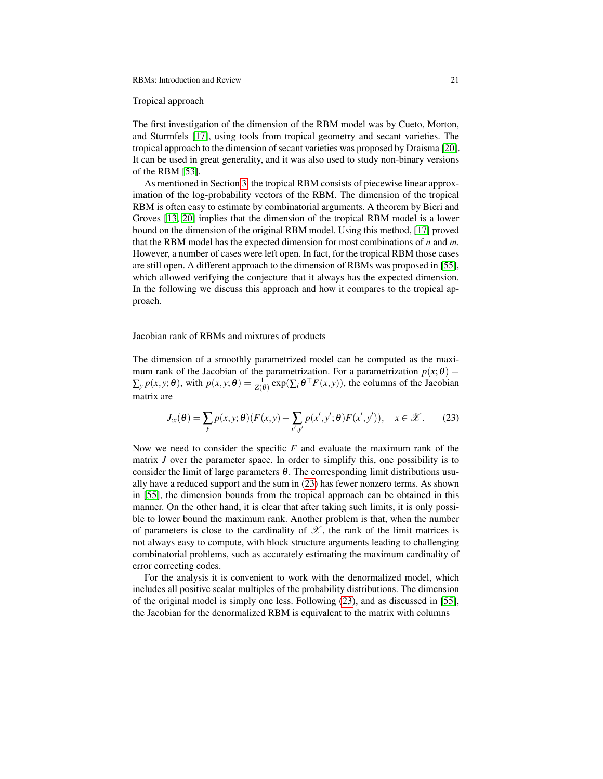#### Tropical approach

The first investigation of the dimension of the RBM model was by Cueto, Morton, and Sturmfels [\[17\]](#page-39-10), using tools from tropical geometry and secant varieties. The tropical approach to the dimension of secant varieties was proposed by Draisma [\[20\]](#page-39-21). It can be used in great generality, and it was also used to study non-binary versions of the RBM [\[53\]](#page-41-4).

As mentioned in Section [3,](#page-7-0) the tropical RBM consists of piecewise linear approximation of the log-probability vectors of the RBM. The dimension of the tropical RBM is often easy to estimate by combinatorial arguments. A theorem by Bieri and Groves [\[13,](#page-39-22) [20\]](#page-39-21) implies that the dimension of the tropical RBM model is a lower bound on the dimension of the original RBM model. Using this method, [\[17\]](#page-39-10) proved that the RBM model has the expected dimension for most combinations of *n* and *m*. However, a number of cases were left open. In fact, for the tropical RBM those cases are still open. A different approach to the dimension of RBMs was proposed in [\[55\]](#page-41-5), which allowed verifying the conjecture that it always has the expected dimension. In the following we discuss this approach and how it compares to the tropical approach.

Jacobian rank of RBMs and mixtures of products

The dimension of a smoothly parametrized model can be computed as the maximum rank of the Jacobian of the parametrization. For a parametrization  $p(x; \theta)$  =  $\sum_{y} p(x, y; \theta)$ , with  $p(x, y; \theta) = \frac{1}{Z(\theta)} \exp(\sum_{i} \theta^{T} F(x, y))$ , the columns of the Jacobian matrix are

<span id="page-22-0"></span>
$$
J_{\mathcal{X}}(\theta) = \sum_{\mathcal{Y}} p(x, y; \theta) (F(x, y) - \sum_{x', y'} p(x', y'; \theta) F(x', y')), \quad x \in \mathcal{X}.
$$
 (23)

Now we need to consider the specific *F* and evaluate the maximum rank of the matrix *J* over the parameter space. In order to simplify this, one possibility is to consider the limit of large parameters  $\theta$ . The corresponding limit distributions usually have a reduced support and the sum in [\(23\)](#page-22-0) has fewer nonzero terms. As shown in [\[55\]](#page-41-5), the dimension bounds from the tropical approach can be obtained in this manner. On the other hand, it is clear that after taking such limits, it is only possible to lower bound the maximum rank. Another problem is that, when the number of parameters is close to the cardinality of  $\mathscr X$ , the rank of the limit matrices is not always easy to compute, with block structure arguments leading to challenging combinatorial problems, such as accurately estimating the maximum cardinality of error correcting codes.

For the analysis it is convenient to work with the denormalized model, which includes all positive scalar multiples of the probability distributions. The dimension of the original model is simply one less. Following [\(23\)](#page-22-0), and as discussed in [\[55\]](#page-41-5), the Jacobian for the denormalized RBM is equivalent to the matrix with columns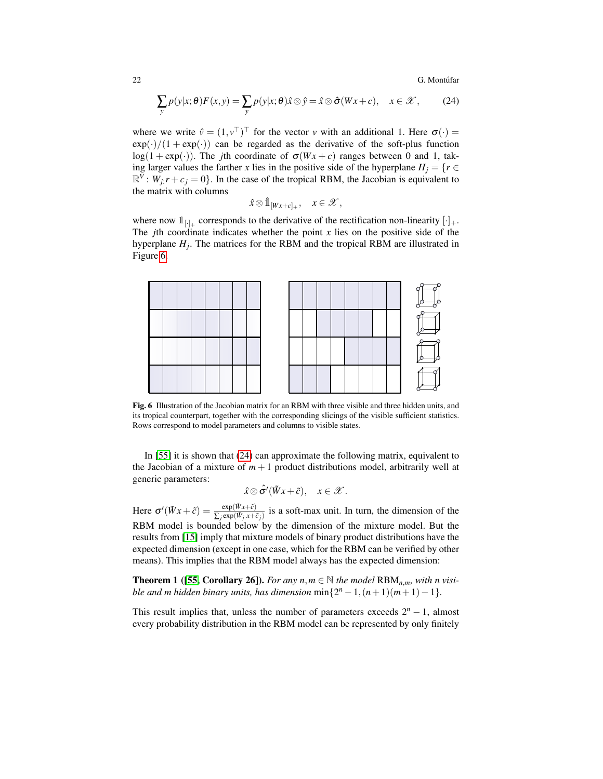22 G. Montufar Theorem 202

<span id="page-23-1"></span>
$$
\sum_{y} p(y|x; \theta) F(x, y) = \sum_{y} p(y|x; \theta) \hat{x} \otimes \hat{y} = \hat{x} \otimes \hat{\sigma}(Wx + c), \quad x \in \mathcal{X}, \quad (24)
$$

where we write  $\hat{v} = (1, v^{\dagger})^{\dagger}$  for the vector *v* with an additional 1. Here  $\sigma(\cdot) =$  $\exp(\cdot)/(1 + \exp(\cdot))$  can be regarded as the derivative of the soft-plus function  $log(1 + exp(\cdot))$ . The *j*th coordinate of  $\sigma(Wx + c)$  ranges between 0 and 1, taking larger values the farther *x* lies in the positive side of the hyperplane  $H_j = \{r \in$  $\mathbb{R}^{\bar{V}}$ :  $W_j$ :  $r + c_j = 0$ . In the case of the tropical RBM, the Jacobian is equivalent to the matrix with columns

$$
\hat{x} \otimes \hat{1\!\!1}_{[Wx+c]_+}, \quad x \in \mathscr{X},
$$

where now  $\mathbb{1}_{[\cdot]_+}$  corresponds to the derivative of the rectification non-linearity  $[\cdot]_+$ . The *j*th coordinate indicates whether the point  $x$  lies on the positive side of the hyperplane  $H_j$ . The matrices for the RBM and the tropical RBM are illustrated in Figure [6.](#page-23-0)



<span id="page-23-0"></span>Fig. 6 Illustration of the Jacobian matrix for an RBM with three visible and three hidden units, and its tropical counterpart, together with the corresponding slicings of the visible sufficient statistics. Rows correspond to model parameters and columns to visible states.

In [\[55\]](#page-41-5) it is shown that [\(24\)](#page-23-1) can approximate the following matrix, equivalent to the Jacobian of a mixture of  $m+1$  product distributions model, arbitrarily well at generic parameters:

$$
\hat{x} \otimes \hat{\sigma}'(\tilde{W}x + \tilde{c}), \quad x \in \mathscr{X}.
$$

Here  $\sigma'(\tilde{W}x + \tilde{c}) = \frac{\exp(\tilde{W}x + \tilde{c})}{\sum_j \exp(\tilde{W}_{j}:x + \tilde{c}_j)}$  is a soft-max unit. In turn, the dimension of the RBM model is bounded below by the dimension of the mixture model. But the results from [\[15\]](#page-39-23) imply that mixture models of binary product distributions have the expected dimension (except in one case, which for the RBM can be verified by other means). This implies that the RBM model always has the expected dimension:

**Theorem 1** ([\[55,](#page-41-5) Corollary 26]). *For any n,m*  $\in \mathbb{N}$  *the model* RBM<sub>n,m</sub>, with n visi*ble and m hidden binary units, has dimension*  $min\{2^n - 1, (n+1)(m+1) - 1\}$ .

This result implies that, unless the number of parameters exceeds  $2<sup>n</sup> - 1$ , almost every probability distribution in the RBM model can be represented by only finitely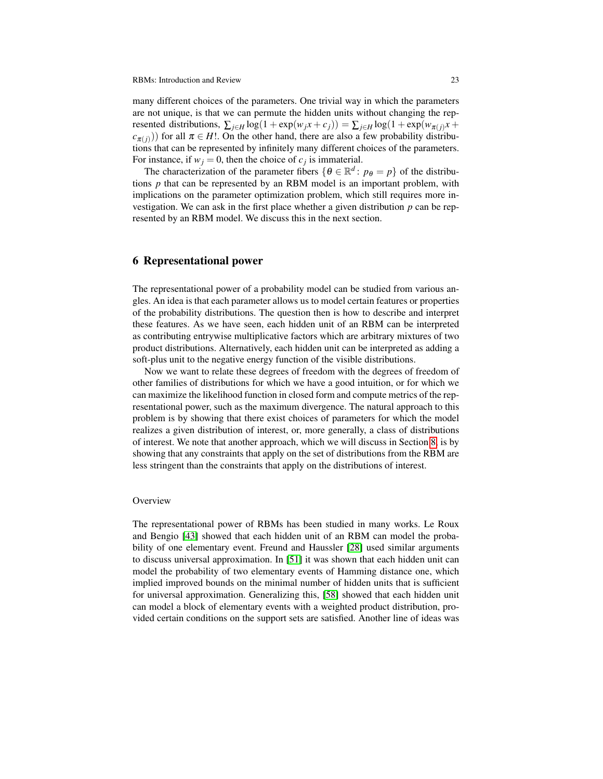many different choices of the parameters. One trivial way in which the parameters are not unique, is that we can permute the hidden units without changing the represented distributions,  $\sum_{i \in H} \log(1 + \exp(w_i x + c_i)) = \sum_{i \in H} \log(1 + \exp(w_{\pi(i)} x + c_i))$  $c_{\pi(j)}$ )) for all  $\pi \in H!$ . On the other hand, there are also a few probability distributions that can be represented by infinitely many different choices of the parameters. For instance, if  $w_j = 0$ , then the choice of  $c_j$  is immaterial.

The characterization of the parameter fibers  $\{\theta \in \mathbb{R}^d : p_{\theta} = p\}$  of the distributions *p* that can be represented by an RBM model is an important problem, with implications on the parameter optimization problem, which still requires more investigation. We can ask in the first place whether a given distribution *p* can be represented by an RBM model. We discuss this in the next section.

# <span id="page-24-0"></span>6 Representational power

The representational power of a probability model can be studied from various angles. An idea is that each parameter allows us to model certain features or properties of the probability distributions. The question then is how to describe and interpret these features. As we have seen, each hidden unit of an RBM can be interpreted as contributing entrywise multiplicative factors which are arbitrary mixtures of two product distributions. Alternatively, each hidden unit can be interpreted as adding a soft-plus unit to the negative energy function of the visible distributions.

Now we want to relate these degrees of freedom with the degrees of freedom of other families of distributions for which we have a good intuition, or for which we can maximize the likelihood function in closed form and compute metrics of the representational power, such as the maximum divergence. The natural approach to this problem is by showing that there exist choices of parameters for which the model realizes a given distribution of interest, or, more generally, a class of distributions of interest. We note that another approach, which we will discuss in Section [8,](#page-34-0) is by showing that any constraints that apply on the set of distributions from the RBM are less stringent than the constraints that apply on the distributions of interest.

#### **Overview**

The representational power of RBMs has been studied in many works. Le Roux and Bengio [\[43\]](#page-40-8) showed that each hidden unit of an RBM can model the probability of one elementary event. Freund and Haussler [\[28\]](#page-40-19) used similar arguments to discuss universal approximation. In [\[51\]](#page-40-11) it was shown that each hidden unit can model the probability of two elementary events of Hamming distance one, which implied improved bounds on the minimal number of hidden units that is sufficient for universal approximation. Generalizing this, [\[58\]](#page-41-2) showed that each hidden unit can model a block of elementary events with a weighted product distribution, provided certain conditions on the support sets are satisfied. Another line of ideas was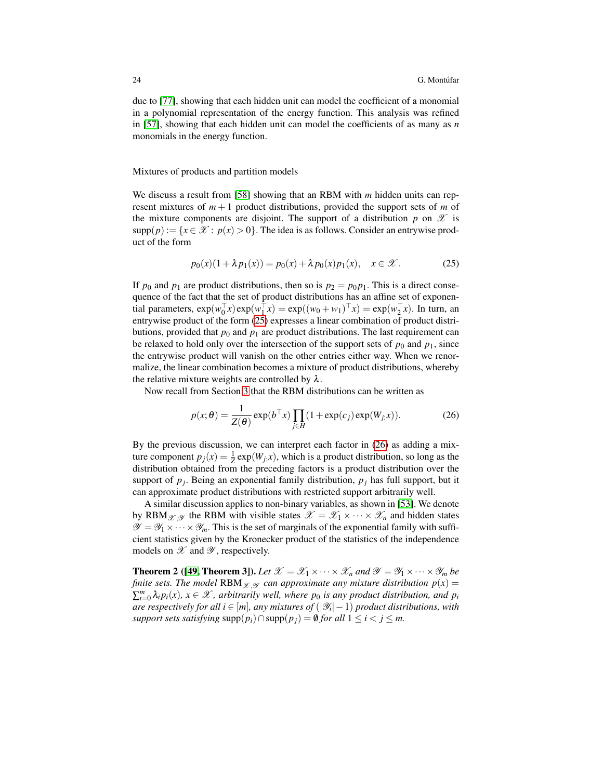due to [\[77\]](#page-42-0), showing that each hidden unit can model the coefficient of a monomial in a polynomial representation of the energy function. This analysis was refined in [\[57\]](#page-41-3), showing that each hidden unit can model the coefficients of as many as *n* monomials in the energy function.

#### Mixtures of products and partition models

We discuss a result from [\[58\]](#page-41-2) showing that an RBM with *m* hidden units can represent mixtures of  $m+1$  product distributions, provided the support sets of m of the mixture components are disjoint. The support of a distribution  $p$  on  $\mathscr X$  is  $supp(p) := \{x \in \mathcal{X} : p(x) > 0\}$ . The idea is as follows. Consider an entrywise product of the form

<span id="page-25-0"></span>
$$
p_0(x)(1 + \lambda p_1(x)) = p_0(x) + \lambda p_0(x)p_1(x), \quad x \in \mathcal{X}.
$$
 (25)

If  $p_0$  and  $p_1$  are product distributions, then so is  $p_2 = p_0 p_1$ . This is a direct consequence of the fact that the set of product distributions has an affine set of exponential parameters,  $exp(w_0^{\top} x)exp(w_1^{\top} x) = exp((w_0 + w_1)^{\top} x) = exp(w_2^{\top} x)$ . In turn, an entrywise product of the form [\(25\)](#page-25-0) expresses a linear combination of product distributions, provided that  $p_0$  and  $p_1$  are product distributions. The last requirement can be relaxed to hold only over the intersection of the support sets of  $p_0$  and  $p_1$ , since the entrywise product will vanish on the other entries either way. When we renormalize, the linear combination becomes a mixture of product distributions, whereby the relative mixture weights are controlled by  $\lambda$ .

Now recall from Section [3](#page-7-0) that the RBM distributions can be written as

<span id="page-25-1"></span>
$$
p(x; \theta) = \frac{1}{Z(\theta)} \exp(b^{\top} x) \prod_{j \in H} (1 + \exp(c_j) \exp(W_{j:X})).
$$
 (26)

By the previous discussion, we can interpret each factor in [\(26\)](#page-25-1) as adding a mixture component  $p_j(x) = \frac{1}{Z} \exp(W_{j:X})$ , which is a product distribution, so long as the distribution obtained from the preceding factors is a product distribution over the support of *p<sup>j</sup>* . Being an exponential family distribution, *p<sup>j</sup>* has full support, but it can approximate product distributions with restricted support arbitrarily well.

A similar discussion applies to non-binary variables, as shown in [\[53\]](#page-41-4). We denote by RBM<sub>X Y</sub> the RBM with visible states  $\mathscr{X} = \mathscr{X}_1 \times \cdots \times \mathscr{X}_n$  and hidden states  $\mathscr{Y} = \mathscr{Y}_1 \times \cdots \times \mathscr{Y}_m$ . This is the set of marginals of the exponential family with sufficient statistics given by the Kronecker product of the statistics of the independence models on  $\mathscr X$  and  $\mathscr Y$ , respectively.

<span id="page-25-2"></span>**Theorem 2** ([\[49,](#page-40-12) Theorem 3]). Let  $\mathcal{X} = \mathcal{X}_1 \times \cdots \times \mathcal{X}_n$  and  $\mathcal{Y} = \mathcal{Y}_1 \times \cdots \times \mathcal{Y}_m$  be *finite sets. The model* RBM $\mathcal{L} \mathcal{L}$  *can approximate any mixture distribution*  $p(x) =$  $\sum_{i=0}^{m} \lambda_i p_i(x)$ ,  $x \in \mathcal{X}$ , arbitrarily well, where  $p_0$  is any product distribution, and  $p_i$ *are respectively for all i* ∈ [*m*]*, any mixtures of* (|Y*<sup>i</sup>* |−1) *product distributions, with support sets satisfying*  $\text{supp}(p_i) \cap \text{supp}(p_j) = \emptyset$  *for all*  $1 \leq i < j \leq m$ .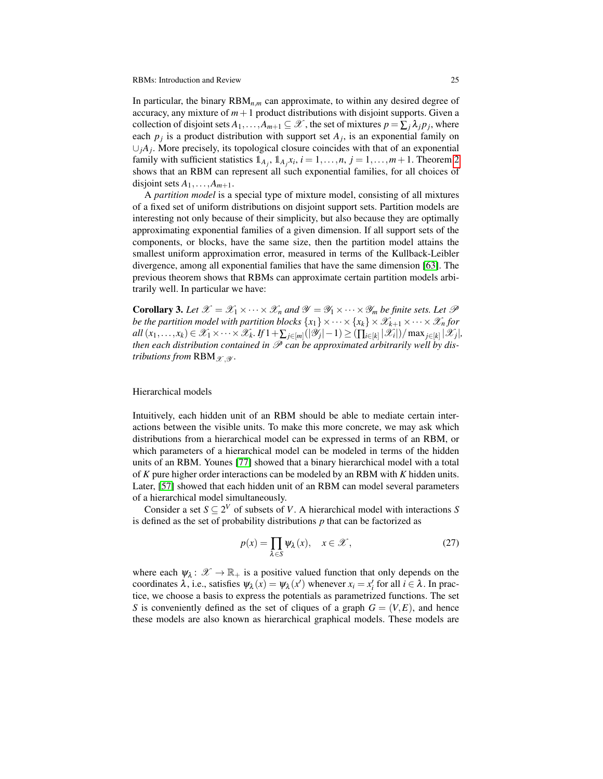In particular, the binary RBM*n*,*<sup>m</sup>* can approximate, to within any desired degree of accuracy, any mixture of  $m+1$  product distributions with disjoint supports. Given a collection of disjoint sets  $A_1, \ldots, A_{m+1} \subseteq \mathcal{X}$ , the set of mixtures  $p = \sum_j \lambda_j p_j$ , where each  $p_j$  is a product distribution with support set  $A_j$ , is an exponential family on  $\cup_j A_j$ . More precisely, its topological closure coincides with that of an exponential family with sufficient statistics  $1_{A_j}$ ,  $1_{A_j}$  $x_i$ ,  $i = 1, ..., n$ ,  $j = 1, ..., m + 1$ . Theorem [2](#page-25-2) shows that an RBM can represent all such exponential families, for all choices of disjoint sets  $A_1, \ldots, A_{m+1}$ .

A *partition model* is a special type of mixture model, consisting of all mixtures of a fixed set of uniform distributions on disjoint support sets. Partition models are interesting not only because of their simplicity, but also because they are optimally approximating exponential families of a given dimension. If all support sets of the components, or blocks, have the same size, then the partition model attains the smallest uniform approximation error, measured in terms of the Kullback-Leibler divergence, among all exponential families that have the same dimension [\[63\]](#page-41-19). The previous theorem shows that RBMs can approximate certain partition models arbitrarily well. In particular we have:

<span id="page-26-1"></span>**Corollary 3.** Let  $\mathscr{X} = \mathscr{X}_1 \times \cdots \times \mathscr{X}_n$  and  $\mathscr{Y} = \mathscr{Y}_1 \times \cdots \times \mathscr{Y}_m$  be finite sets. Let  $\mathscr{P}$ *be the partition model with partition blocks*  $\{x_1\} \times \cdots \times \{x_k\} \times \mathcal{X}_{k+1} \times \cdots \times \mathcal{X}_n$  for  $all(x_1,...,x_k) \in \mathscr{X}_1 \times \cdots \times \mathscr{X}_k$ . If  $1 + \sum_{j \in [m]}(|\mathscr{Y}_j| - 1) \geq (\prod_{i \in [k]} |\mathscr{X}_i|)/\max_{j \in [k]} |\mathscr{X}_j|$ , *then each distribution contained in*  $\mathcal P$  *can be approximated arbitrarily well by distributions from*  $RBM_{\mathscr{X}}_{\mathscr{Y}}$ .

#### <span id="page-26-0"></span>Hierarchical models

Intuitively, each hidden unit of an RBM should be able to mediate certain interactions between the visible units. To make this more concrete, we may ask which distributions from a hierarchical model can be expressed in terms of an RBM, or which parameters of a hierarchical model can be modeled in terms of the hidden units of an RBM. Younes [\[77\]](#page-42-0) showed that a binary hierarchical model with a total of *K* pure higher order interactions can be modeled by an RBM with *K* hidden units. Later, [\[57\]](#page-41-3) showed that each hidden unit of an RBM can model several parameters of a hierarchical model simultaneously.

Consider a set  $S \subseteq 2^V$  of subsets of *V*. A hierarchical model with interactions *S* is defined as the set of probability distributions *p* that can be factorized as

<span id="page-26-2"></span>
$$
p(x) = \prod_{\lambda \in S} \psi_{\lambda}(x), \quad x \in \mathcal{X}, \tag{27}
$$

where each  $\psi_{\lambda} : \mathscr{X} \to \mathbb{R}_{+}$  is a positive valued function that only depends on the coordinates  $\lambda$ , i.e., satisfies  $\psi_{\lambda}(x) = \psi_{\lambda}(x')$  whenever  $x_i = x'_i$  for all  $i \in \lambda$ . In practice, we choose a basis to express the potentials as parametrized functions. The set *S* is conveniently defined as the set of cliques of a graph  $G = (V, E)$ , and hence these models are also known as hierarchical graphical models. These models are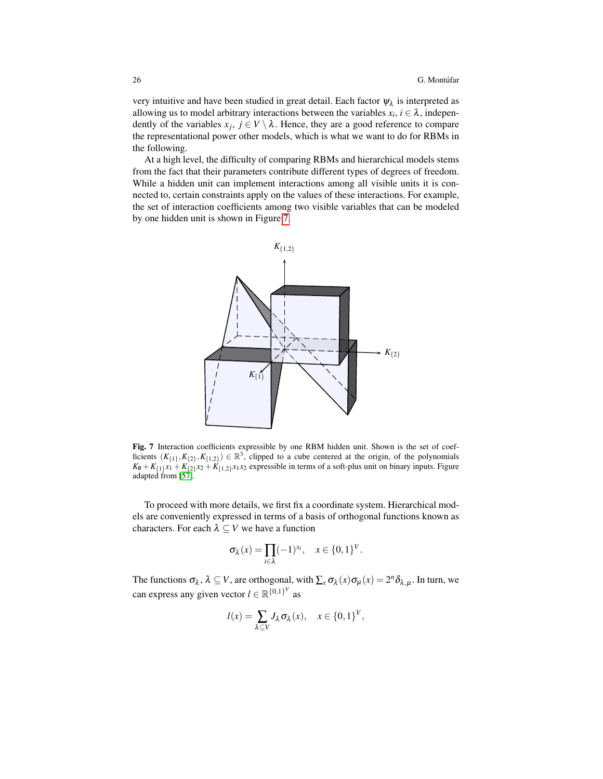very intuitive and have been studied in great detail. Each factor  $\psi_{\lambda}$  is interpreted as allowing us to model arbitrary interactions between the variables  $x_i$ ,  $i \in \lambda$ , independently of the variables  $x_j$ ,  $j \in V \setminus \lambda$ . Hence, they are a good reference to compare the representational power other models, which is what we want to do for RBMs in the following.

At a high level, the difficulty of comparing RBMs and hierarchical models stems from the fact that their parameters contribute different types of degrees of freedom. While a hidden unit can implement interactions among all visible units it is connected to, certain constraints apply on the values of these interactions. For example, the set of interaction coefficients among two visible variables that can be modeled by one hidden unit is shown in Figure [7.](#page-27-0)



<span id="page-27-0"></span>Fig. 7 Interaction coefficients expressible by one RBM hidden unit. Shown is the set of coefficients  $(K_{\{1\}}, K_{\{2\}}, K_{\{1,2\}}) \in \mathbb{R}^3$ , clipped to a cube centered at the origin, of the polynomials  $K_0 + K_{\{1\}}x_1 + K_{\{2\}}x_2 + K_{\{1,2\}}x_1x_2$  expressible in terms of a soft-plus unit on binary inputs. Figure adapted from [\[57\]](#page-41-3).

To proceed with more details, we first fix a coordinate system. Hierarchical models are conveniently expressed in terms of a basis of orthogonal functions known as characters. For each  $\lambda \subseteq V$  we have a function

$$
\sigma_{\lambda}(x) = \prod_{i \in \lambda} (-1)^{x_i}, \quad x \in \{0, 1\}^V.
$$

The functions  $\sigma_{\lambda}$ ,  $\lambda \subseteq V$ , are orthogonal, with  $\sum_{x} \sigma_{\lambda}(x) \sigma_{\mu}(x) = 2^{n} \delta_{\lambda,\mu}$ . In turn, we can express any given vector  $l \in \mathbb{R}^{\{0,1\}^V}$  as

$$
l(x) = \sum_{\lambda \subseteq V} J_{\lambda} \sigma_{\lambda}(x), \quad x \in \{0,1\}^V,
$$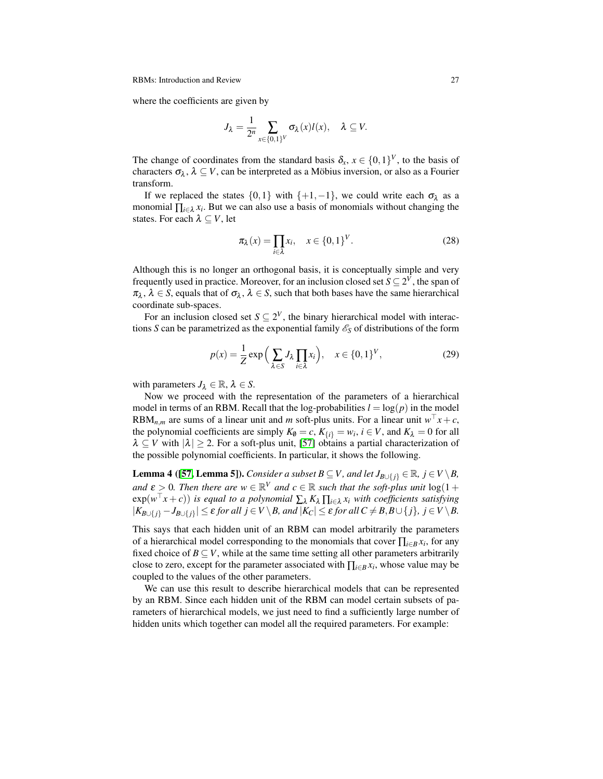where the coefficients are given by

$$
J_{\lambda} = \frac{1}{2^n} \sum_{x \in \{0,1\}^V} \sigma_{\lambda}(x) l(x), \quad \lambda \subseteq V.
$$

The change of coordinates from the standard basis  $\delta_x$ ,  $x \in \{0,1\}^V$ , to the basis of characters  $\sigma_{\lambda}$ ,  $\lambda \subseteq V$ , can be interpreted as a Möbius inversion, or also as a Fourier transform.

If we replaced the states  $\{0,1\}$  with  $\{+1,-1\}$ , we could write each  $\sigma_{\lambda}$  as a monomial  $\prod_{i \in \lambda} x_i$ . But we can also use a basis of monomials without changing the states. For each  $\lambda \subseteq V$ , let

$$
\pi_{\lambda}(x) = \prod_{i \in \lambda} x_i, \quad x \in \{0, 1\}^V. \tag{28}
$$

Although this is no longer an orthogonal basis, it is conceptually simple and very frequently used in practice. Moreover, for an inclusion closed set  $S \subseteq 2^V$ , the span of  $\pi_{\lambda}$ ,  $\lambda \in S$ , equals that of  $\sigma_{\lambda}$ ,  $\lambda \in S$ , such that both bases have the same hierarchical coordinate sub-spaces.

For an inclusion closed set  $S \subseteq 2^V$ , the binary hierarchical model with interactions *S* can be parametrized as the exponential family  $\mathscr{E}_S$  of distributions of the form

<span id="page-28-1"></span>
$$
p(x) = \frac{1}{Z} \exp\left(\sum_{\lambda \in S} J_{\lambda} \prod_{i \in \lambda} x_i\right), \quad x \in \{0, 1\}^V, \tag{29}
$$

with parameters  $J_{\lambda} \in \mathbb{R}, \lambda \in S$ .

Now we proceed with the representation of the parameters of a hierarchical model in terms of an RBM. Recall that the log-probabilities  $l = log(p)$  in the model RBM<sub>*n*,*m*</sub> are sums of a linear unit and *m* soft-plus units. For a linear unit  $w<sup>T</sup> x + c$ , the polynomial coefficients are simply  $K_{\emptyset} = c$ ,  $K_{\{i\}} = w_i$ ,  $i \in V$ , and  $K_{\lambda} = 0$  for all  $\lambda \subseteq V$  with  $|\lambda| \geq 2$ . For a soft-plus unit, [\[57\]](#page-41-3) obtains a partial characterization of the possible polynomial coefficients. In particular, it shows the following.

<span id="page-28-0"></span>**Lemma 4 ([\[57,](#page-41-3) Lemma 5]).** *Consider a subset B*  $\subseteq$  *V*, *and let*  $J_{B \cup \{j\}} \in \mathbb{R}$ ,  $j \in V \setminus B$ , *and*  $\varepsilon > 0$ . Then there are  $w \in \mathbb{R}^V$  and  $c \in \mathbb{R}$  such that the soft-plus unit  $\log(1 +$  $\exp(w^\top x + c)$ ) *is equal to a polynomial*  $\sum_{\lambda} K_{\lambda} \prod_{i \in \lambda} x_i$  *with coefficients satisfying*  $|K_{B\cup\{j\}}-J_{B\cup\{j\}}|\leq \varepsilon$  for all  $j\in V\setminus B$ , and  $|K_C|\leq \varepsilon$  for all  $C\neq B, B\cup\{j\},\ j\in V\setminus B$ .

This says that each hidden unit of an RBM can model arbitrarily the parameters of a hierarchical model corresponding to the monomials that cover  $\prod_{i \in B} x_i$ , for any fixed choice of  $B \subseteq V$ , while at the same time setting all other parameters arbitrarily close to zero, except for the parameter associated with  $\prod_{i \in B} x_i$ , whose value may be coupled to the values of the other parameters.

We can use this result to describe hierarchical models that can be represented by an RBM. Since each hidden unit of the RBM can model certain subsets of parameters of hierarchical models, we just need to find a sufficiently large number of hidden units which together can model all the required parameters. For example: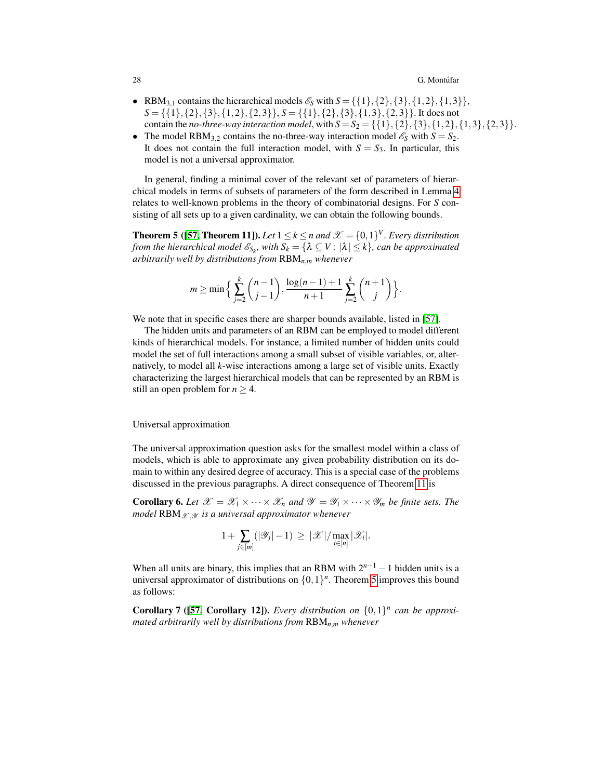#### 28 G. Montúfar

- RBM<sub>3,1</sub> contains the hierarchical models  $\mathcal{E}_S$  with  $S = \{\{1\}, \{2\}, \{3\}, \{1,2\}, \{1,3\}\}\$ ,  $S = \{\{1\},\{2\},\{3\},\{1,2\},\{2,3\}\}\$ ,  $S = \{\{1\},\{2\},\{3\},\{1,3\},\{2,3\}\}\$ . It does not contain the *no-three-way interaction model*, with  $S = S_2 = \{\{1\},\{2\},\{3\},\{1,2\},\{1,3\},\{2,3\}\}.$
- The model RBM<sub>3.2</sub> contains the no-three-way interaction model  $\mathscr{E}_S$  with  $S = S_2$ . It does not contain the full interaction model, with  $S = S_3$ . In particular, this model is not a universal approximator.

In general, finding a minimal cover of the relevant set of parameters of hierarchical models in terms of subsets of parameters of the form described in Lemma [4](#page-28-0) relates to well-known problems in the theory of combinatorial designs. For *S* consisting of all sets up to a given cardinality, we can obtain the following bounds.

<span id="page-29-0"></span>**Theorem 5** ([\[57,](#page-41-3) **Theorem 11**]). Let  $1 \le k \le n$  and  $\mathcal{X} = \{0,1\}^V$ . Every distribution *from the hierarchical model*  $\mathscr{E}_{S_k}$ *, with*  $S_k = \{\lambda \subseteq V : |\lambda| \leq k\}$ *, can be approximated arbitrarily well by distributions from* RBM*n*,*<sup>m</sup> whenever*

$$
m \ge \min \Big\{ \sum_{j=2}^{k} {n-1 \choose j-1}, \frac{\log(n-1)+1}{n+1} \sum_{j=2}^{k} {n+1 \choose j} \Big\}.
$$

We note that in specific cases there are sharper bounds available, listed in [\[57\]](#page-41-3).

The hidden units and parameters of an RBM can be employed to model different kinds of hierarchical models. For instance, a limited number of hidden units could model the set of full interactions among a small subset of visible variables, or, alternatively, to model all *k*-wise interactions among a large set of visible units. Exactly characterizing the largest hierarchical models that can be represented by an RBM is still an open problem for  $n \geq 4$ .

#### Universal approximation

The universal approximation question asks for the smallest model within a class of models, which is able to approximate any given probability distribution on its domain to within any desired degree of accuracy. This is a special case of the problems discussed in the previous paragraphs. A direct consequence of Theorem [11](#page-32-0) is

**Corollary 6.** Let  $\mathcal{X} = \mathcal{X}_1 \times \cdots \times \mathcal{X}_n$  and  $\mathcal{Y} = \mathcal{Y}_1 \times \cdots \times \mathcal{Y}_m$  be finite sets. The *model* RBM $\mathcal{X}, \mathcal{Y}$  *is a universal approximator whenever* 

$$
1+\sum_{j\in [m]}(|\mathscr{Y}_j|-1) \geq |\mathscr{X}|/\max_{i\in [n]}|\mathscr{X}_i|.
$$

<span id="page-29-1"></span>When all units are binary, this implies that an RBM with  $2^{n-1} - 1$  hidden units is a universal approximator of distributions on  $\{0,1\}^n$ . Theorem [5](#page-29-0) improves this bound as follows:

**Corollary 7** ([\[57,](#page-41-3) Corollary 12]). *Every distribution on*  $\{0,1\}^n$  can be approxi*mated arbitrarily well by distributions from* RBM*n*,*<sup>m</sup> whenever*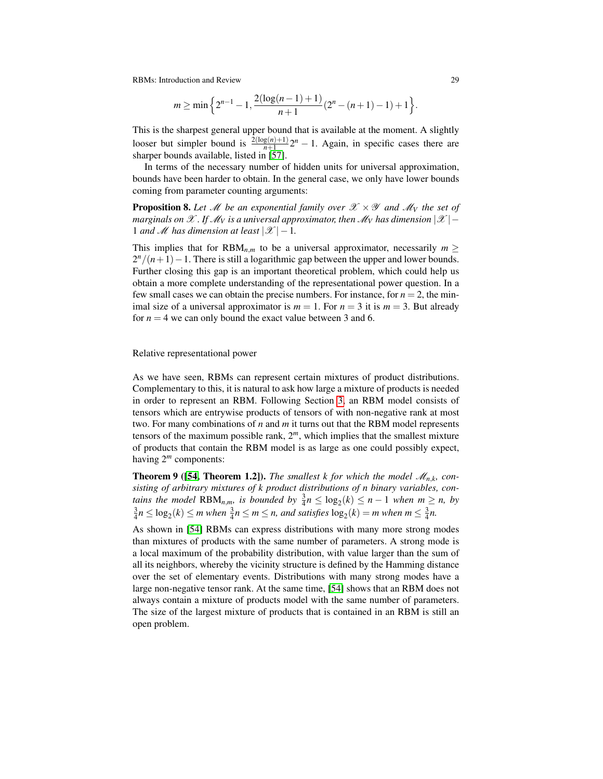$$
m \ge \min\left\{2^{n-1} - 1, \frac{2(\log(n-1)+1)}{n+1}(2^n - (n+1)-1) + 1\right\}.
$$

This is the sharpest general upper bound that is available at the moment. A slightly looser but simpler bound is  $\frac{2(\log(n)+1)}{n+1}2^n - 1$ . Again, in specific cases there are sharper bounds available, listed in [\[57\]](#page-41-3).

In terms of the necessary number of hidden units for universal approximation, bounds have been harder to obtain. In the general case, we only have lower bounds coming from parameter counting arguments:

**Proposition 8.** Let  $\mathcal{M}$  be an exponential family over  $\mathcal{X} \times \mathcal{Y}$  and  $\mathcal{M}_V$  the set of *marginals on*  $\mathscr{X}$ *. If*  $\mathscr{M}_V$  *is a universal approximator, then*  $\mathscr{M}_V$  *has dimension*  $|\mathscr{X}|$  – 1 *and M* has dimension at least  $|\mathcal{X}| - 1$ .

This implies that for RBM<sub>n,*m*</sub> to be a universal approximator, necessarily  $m \geq$ 2<sup>n</sup>/(n+1)−1. There is still a logarithmic gap between the upper and lower bounds. Further closing this gap is an important theoretical problem, which could help us obtain a more complete understanding of the representational power question. In a few small cases we can obtain the precise numbers. For instance, for  $n = 2$ , the minimal size of a universal approximator is  $m = 1$ . For  $n = 3$  it is  $m = 3$ . But already for  $n = 4$  we can only bound the exact value between 3 and 6.

Relative representational power

As we have seen, RBMs can represent certain mixtures of product distributions. Complementary to this, it is natural to ask how large a mixture of products is needed in order to represent an RBM. Following Section [3,](#page-7-0) an RBM model consists of tensors which are entrywise products of tensors of with non-negative rank at most two. For many combinations of *n* and *m* it turns out that the RBM model represents tensors of the maximum possible rank, 2*m*, which implies that the smallest mixture of products that contain the RBM model is as large as one could possibly expect, having 2*<sup>m</sup>* components:

**Theorem 9 ([\[54,](#page-41-7) Theorem 1.2]).** *The smallest k for which the model*  $\mathcal{M}_{n,k}$ , con*sisting of arbitrary mixtures of k product distributions of n binary variables, contains the model*  $\text{RBM}_{n,m}$ *, is bounded by*  $\frac{3}{4}n \leq \log_2(k) \leq n-1$  *when*  $m \geq n$ *, by*  $\frac{3}{4}n \le \log_2(k) \le m$  when  $\frac{3}{4}n \le m \le n$ , and satisfies  $\log_2(k) = m$  when  $m \le \frac{3}{4}n$ .

As shown in [\[54\]](#page-41-7) RBMs can express distributions with many more strong modes than mixtures of products with the same number of parameters. A strong mode is a local maximum of the probability distribution, with value larger than the sum of all its neighbors, whereby the vicinity structure is defined by the Hamming distance over the set of elementary events. Distributions with many strong modes have a large non-negative tensor rank. At the same time, [\[54\]](#page-41-7) shows that an RBM does not always contain a mixture of products model with the same number of parameters. The size of the largest mixture of products that is contained in an RBM is still an open problem.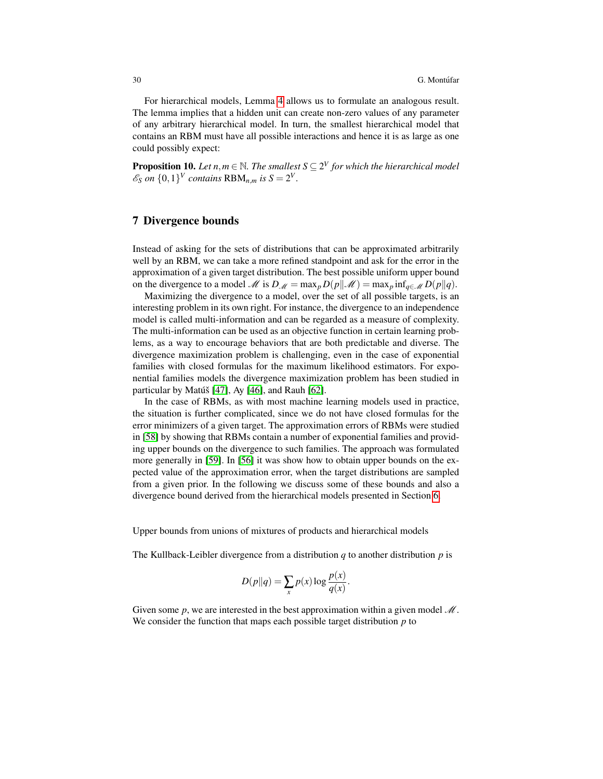For hierarchical models, Lemma [4](#page-28-0) allows us to formulate an analogous result. The lemma implies that a hidden unit can create non-zero values of any parameter of any arbitrary hierarchical model. In turn, the smallest hierarchical model that contains an RBM must have all possible interactions and hence it is as large as one could possibly expect:

**Proposition 10.** *Let n, m*  $\in$  N. *The smallest*  $S \subseteq 2^V$  *for which the hierarchical model*  $\mathscr{E}_{\mathcal{S}}$  *on*  $\{0,1\}^V$  *contains* RBM<sub>*n*,*m*</sub> *is*  $S = 2^V$ .

# <span id="page-31-0"></span>7 Divergence bounds

Instead of asking for the sets of distributions that can be approximated arbitrarily well by an RBM, we can take a more refined standpoint and ask for the error in the approximation of a given target distribution. The best possible uniform upper bound on the divergence to a model M is  $D_M = \max_p D(p||\mathcal{M}) = \max_p \inf_{q \in \mathcal{M}} D(p||q)$ .

Maximizing the divergence to a model, over the set of all possible targets, is an interesting problem in its own right. For instance, the divergence to an independence model is called multi-information and can be regarded as a measure of complexity. The multi-information can be used as an objective function in certain learning problems, as a way to encourage behaviors that are both predictable and diverse. The divergence maximization problem is challenging, even in the case of exponential families with closed formulas for the maximum likelihood estimators. For exponential families models the divergence maximization problem has been studied in particular by Matúš  $[47]$ , Ay  $[46]$ , and Rauh  $[62]$ .

In the case of RBMs, as with most machine learning models used in practice, the situation is further complicated, since we do not have closed formulas for the error minimizers of a given target. The approximation errors of RBMs were studied in [\[58\]](#page-41-2) by showing that RBMs contain a number of exponential families and providing upper bounds on the divergence to such families. The approach was formulated more generally in [\[59\]](#page-41-21). In [\[56\]](#page-41-22) it was show how to obtain upper bounds on the expected value of the approximation error, when the target distributions are sampled from a given prior. In the following we discuss some of these bounds and also a divergence bound derived from the hierarchical models presented in Section [6.](#page-24-0)

Upper bounds from unions of mixtures of products and hierarchical models

The Kullback-Leibler divergence from a distribution *q* to another distribution *p* is

$$
D(p||q) = \sum_{x} p(x) \log \frac{p(x)}{q(x)}
$$

.

Given some p, we are interested in the best approximation within a given model  $\mathcal{M}$ . We consider the function that maps each possible target distribution *p* to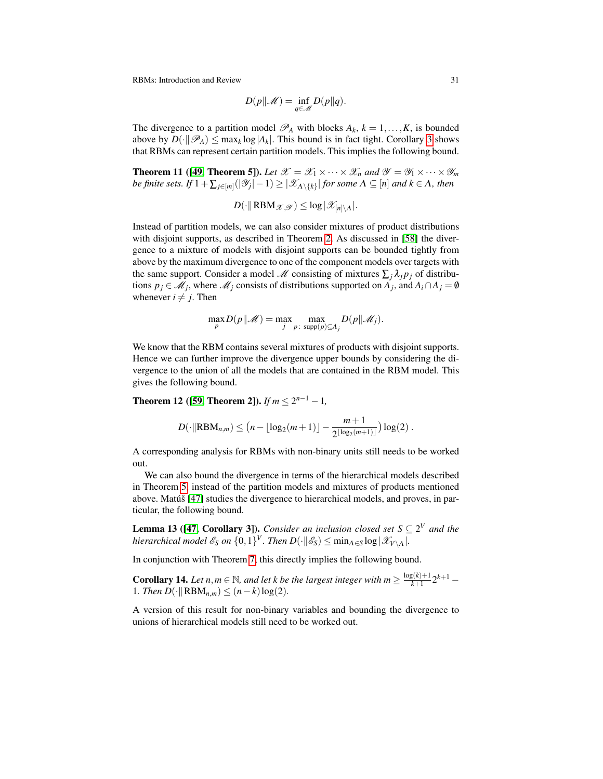$$
D(p||\mathscr{M}) = \inf_{q \in \mathscr{M}} D(p||q).
$$

The divergence to a partition model  $\mathcal{P}_A$  with blocks  $A_k$ ,  $k = 1, \ldots, K$ , is bounded above by  $D(\cdot \| \mathscr{P}_A) \le \max_k \log |A_k|$ . This bound is in fact tight. Corollary [3](#page-26-1) shows that RBMs can represent certain partition models. This implies the following bound.

<span id="page-32-0"></span>**Theorem 11 ([\[49,](#page-40-12) Theorem 5]).** Let  $\mathscr{X} = \mathscr{X}_1 \times \cdots \times \mathscr{X}_n$  and  $\mathscr{Y} = \mathscr{Y}_1 \times \cdots \times \mathscr{Y}_m$  $be$  finite sets. If  $1+\sum_{j\in [m]}(|\mathscr{Y}_j|-1)\geq |\mathscr{X}_{\Lambda\setminus\{k\}}|$  for some  $\Lambda\subseteq [n]$  and  $k\in\Lambda$ , then

$$
D(\cdot \|\text{RBM}_{\mathscr{X},\mathscr{Y}}) \leq \log |\mathscr{X}_{[n]\setminus \Lambda}|.
$$

Instead of partition models, we can also consider mixtures of product distributions with disjoint supports, as described in Theorem [2.](#page-25-2) As discussed in [\[58\]](#page-41-2) the divergence to a mixture of models with disjoint supports can be bounded tightly from above by the maximum divergence to one of the component models over targets with the same support. Consider a model M consisting of mixtures  $\sum_i \lambda_i p_i$  of distributions  $p_j \in \mathcal{M}_j$ , where  $\mathcal{M}_j$  consists of distributions supported on  $A_j$ , and  $A_i \cap A_j = \emptyset$ whenever  $i \neq j$ . Then

<span id="page-32-1"></span>
$$
\max_{p} D(p||\mathcal{M}) = \max_{j} \max_{p:\ \text{supp}(p) \subseteq A_j} D(p||\mathcal{M}_j).
$$

We know that the RBM contains several mixtures of products with disjoint supports. Hence we can further improve the divergence upper bounds by considering the divergence to the union of all the models that are contained in the RBM model. This gives the following bound.

**Theorem 12** ([\[59,](#page-41-21) **Theorem 2**]). *If*  $m \le 2^{n-1} - 1$ ,

$$
D(\cdot||\text{RBM}_{n,m}) \leq (n - \lfloor \log_2(m+1) \rfloor - \frac{m+1}{2^{\lfloor \log_2(m+1) \rfloor}}) \log(2).
$$

A corresponding analysis for RBMs with non-binary units still needs to be worked out.

We can also bound the divergence in terms of the hierarchical models described in Theorem [5,](#page-29-0) instead of the partition models and mixtures of products mentioned above. Matúš [\[47\]](#page-40-20) studies the divergence to hierarchical models, and proves, in particular, the following bound.

**Lemma 13** ([\[47,](#page-40-20) Corollary 3]). *Consider an inclusion closed set*  $S \subseteq 2^V$  *and the hierarchical model*  $\mathscr{E}_{\mathcal{S}}$  *on*  $\{0,1\}^V$ *. Then*  $D(\cdot \| \mathscr{E}_{\mathcal{S}}) \le \min_{\Lambda \in \mathcal{S}} \log |\mathscr{X}_{V \setminus \Lambda}|$ *.* 

In conjunction with Theorem [7,](#page-29-1) this directly implies the following bound.

**Corollary 14.** *Let n, m*  $\in$  N, *and let k be the largest integer with m*  $\geq \frac{\log(k)+1}{k+1}$  $\frac{2(k+1)}{k+1}2^{k+1}$  – 1*. Then*  $D(\cdot \|RBM_{n,m}) \leq (n-k)\log(2)$ *.* 

A version of this result for non-binary variables and bounding the divergence to unions of hierarchical models still need to be worked out.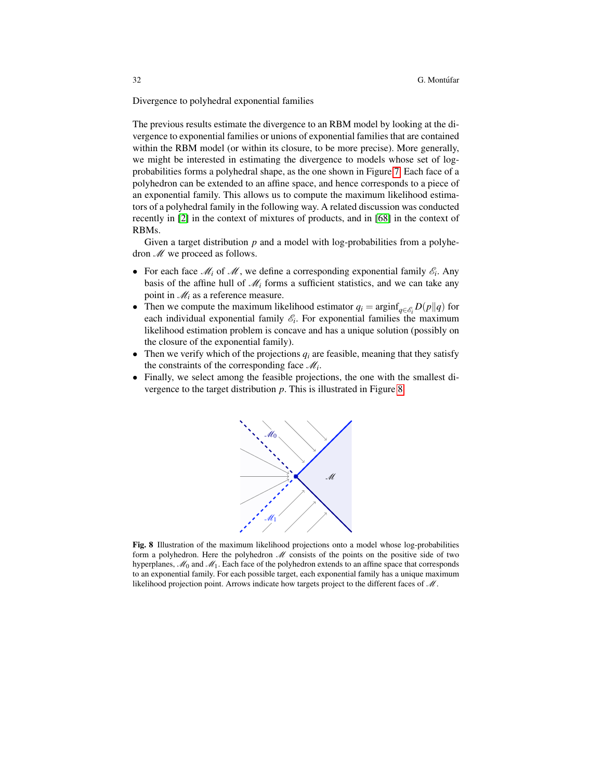Divergence to polyhedral exponential families

The previous results estimate the divergence to an RBM model by looking at the divergence to exponential families or unions of exponential families that are contained within the RBM model (or within its closure, to be more precise). More generally, we might be interested in estimating the divergence to models whose set of logprobabilities forms a polyhedral shape, as the one shown in Figure [7.](#page-27-0) Each face of a polyhedron can be extended to an affine space, and hence corresponds to a piece of an exponential family. This allows us to compute the maximum likelihood estimators of a polyhedral family in the following way. A related discussion was conducted recently in [\[2\]](#page-38-2) in the context of mixtures of products, and in [\[68\]](#page-41-6) in the context of RBMs.

Given a target distribution *p* and a model with log-probabilities from a polyhedron  $M$  we proceed as follows.

- For each face  $\mathcal{M}_i$  of  $\mathcal{M}$ , we define a corresponding exponential family  $\mathcal{E}_i$ . Any basis of the affine hull of  $\mathcal{M}_i$  forms a sufficient statistics, and we can take any point in M*<sup>i</sup>* as a reference measure.
- Then we compute the maximum likelihood estimator  $q_i = \arg\inf_{q \in \mathcal{E}_i} D(p||q)$  for each individual exponential family  $\mathscr{E}_i$ . For exponential families the maximum likelihood estimation problem is concave and has a unique solution (possibly on the closure of the exponential family).
- Then we verify which of the projections  $q_i$  are feasible, meaning that they satisfy the constraints of the corresponding face  $\mathcal{M}_i$ .
- Finally, we select among the feasible projections, the one with the smallest divergence to the target distribution *p*. This is illustrated in Figure [8.](#page-33-0)



<span id="page-33-0"></span>Fig. 8 Illustration of the maximum likelihood projections onto a model whose log-probabilities form a polyhedron. Here the polyhedron  $M$  consists of the points on the positive side of two hyperplanes,  $\mathcal{M}_0$  and  $\mathcal{M}_1$ . Each face of the polyhedron extends to an affine space that corresponds to an exponential family. For each possible target, each exponential family has a unique maximum likelihood projection point. Arrows indicate how targets project to the different faces of  $\mathcal{M}$ .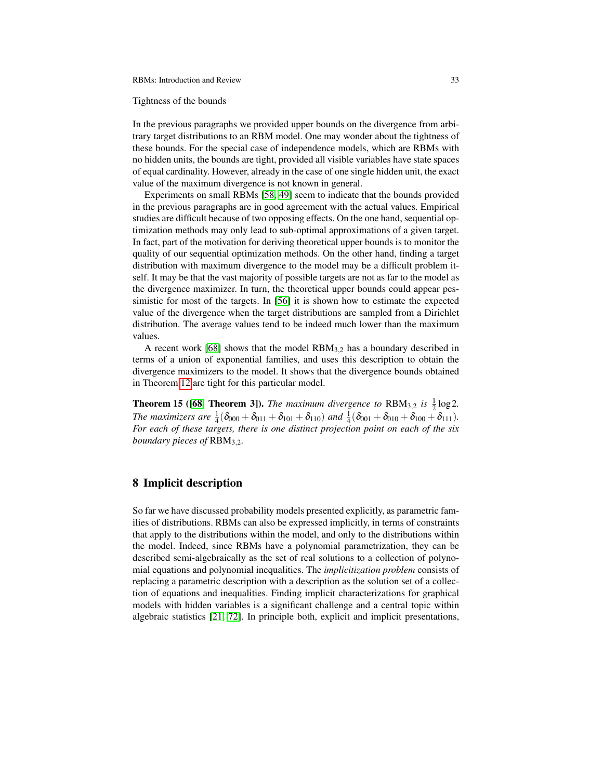#### Tightness of the bounds

In the previous paragraphs we provided upper bounds on the divergence from arbitrary target distributions to an RBM model. One may wonder about the tightness of these bounds. For the special case of independence models, which are RBMs with no hidden units, the bounds are tight, provided all visible variables have state spaces of equal cardinality. However, already in the case of one single hidden unit, the exact value of the maximum divergence is not known in general.

Experiments on small RBMs [\[58,](#page-41-2) [49\]](#page-40-12) seem to indicate that the bounds provided in the previous paragraphs are in good agreement with the actual values. Empirical studies are difficult because of two opposing effects. On the one hand, sequential optimization methods may only lead to sub-optimal approximations of a given target. In fact, part of the motivation for deriving theoretical upper bounds is to monitor the quality of our sequential optimization methods. On the other hand, finding a target distribution with maximum divergence to the model may be a difficult problem itself. It may be that the vast majority of possible targets are not as far to the model as the divergence maximizer. In turn, the theoretical upper bounds could appear pessimistic for most of the targets. In [\[56\]](#page-41-22) it is shown how to estimate the expected value of the divergence when the target distributions are sampled from a Dirichlet distribution. The average values tend to be indeed much lower than the maximum values.

A recent work [\[68\]](#page-41-6) shows that the model  $RBM<sub>3.2</sub>$  has a boundary described in terms of a union of exponential families, and uses this description to obtain the divergence maximizers to the model. It shows that the divergence bounds obtained in Theorem [12](#page-32-1) are tight for this particular model.

<span id="page-34-1"></span>**Theorem 15** ([\[68,](#page-41-6) **Theorem 3**]). *The maximum divergence to*  $RBM_{3,2}$  *is*  $\frac{1}{2}$  log 2. *The maximizers are*  $\frac{1}{4}(\delta_{000} + \delta_{011} + \delta_{101} + \delta_{110})$  *and*  $\frac{1}{4}(\delta_{001} + \delta_{010} + \delta_{100} + \delta_{111})$ *. For each of these targets, there is one distinct projection point on each of the six boundary pieces of* RBM3,2*.*

# <span id="page-34-0"></span>8 Implicit description

So far we have discussed probability models presented explicitly, as parametric families of distributions. RBMs can also be expressed implicitly, in terms of constraints that apply to the distributions within the model, and only to the distributions within the model. Indeed, since RBMs have a polynomial parametrization, they can be described semi-algebraically as the set of real solutions to a collection of polynomial equations and polynomial inequalities. The *implicitization problem* consists of replacing a parametric description with a description as the solution set of a collection of equations and inequalities. Finding implicit characterizations for graphical models with hidden variables is a significant challenge and a central topic within algebraic statistics [\[21,](#page-39-5) [72\]](#page-41-0). In principle both, explicit and implicit presentations,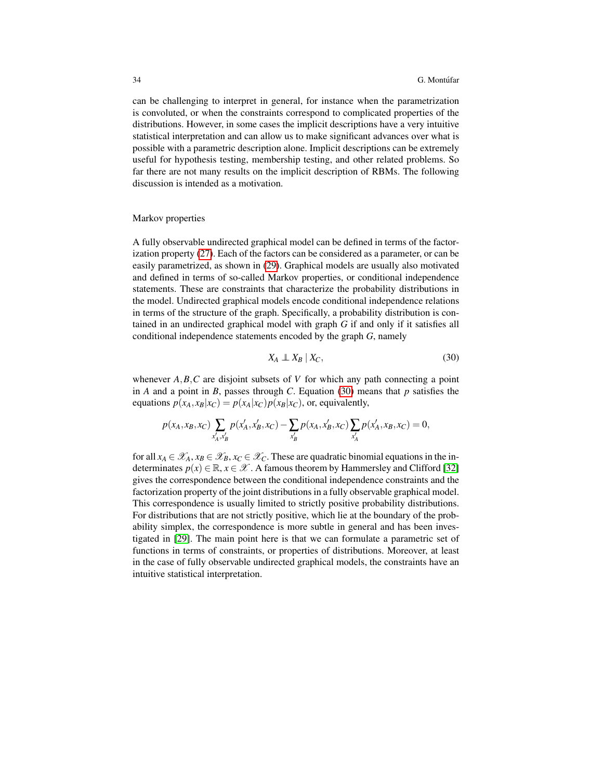can be challenging to interpret in general, for instance when the parametrization is convoluted, or when the constraints correspond to complicated properties of the distributions. However, in some cases the implicit descriptions have a very intuitive statistical interpretation and can allow us to make significant advances over what is possible with a parametric description alone. Implicit descriptions can be extremely useful for hypothesis testing, membership testing, and other related problems. So far there are not many results on the implicit description of RBMs. The following discussion is intended as a motivation.

#### Markov properties

A fully observable undirected graphical model can be defined in terms of the factorization property [\(27\)](#page-26-2). Each of the factors can be considered as a parameter, or can be easily parametrized, as shown in [\(29\)](#page-28-1). Graphical models are usually also motivated and defined in terms of so-called Markov properties, or conditional independence statements. These are constraints that characterize the probability distributions in the model. Undirected graphical models encode conditional independence relations in terms of the structure of the graph. Specifically, a probability distribution is contained in an undirected graphical model with graph *G* if and only if it satisfies all conditional independence statements encoded by the graph *G*, namely

<span id="page-35-0"></span>
$$
X_A \perp \!\!\!\perp X_B \mid X_C, \tag{30}
$$

whenever  $A, B, C$  are disjoint subsets of  $V$  for which any path connecting a point in *A* and a point in *B*, passes through *C*. Equation [\(30\)](#page-35-0) means that *p* satisfies the equations  $p(x_A, x_B | x_C) = p(x_A | x_C) p(x_B | x_C)$ , or, equivalently,

$$
p(x_A, x_B, x_C) \sum_{x'_A, x'_B} p(x'_A, x'_B, x_C) - \sum_{x'_B} p(x_A, x'_B, x_C) \sum_{x'_A} p(x'_A, x_B, x_C) = 0,
$$

for all  $x_A \in \mathscr{X}_A$ ,  $x_B \in \mathscr{X}_B$ ,  $x_C \in \mathscr{X}_C$ . These are quadratic binomial equations in the indeterminates  $p(x) \in \mathbb{R}$ ,  $x \in \mathcal{X}$ . A famous theorem by Hammersley and Clifford [\[32\]](#page-40-22) gives the correspondence between the conditional independence constraints and the factorization property of the joint distributions in a fully observable graphical model. This correspondence is usually limited to strictly positive probability distributions. For distributions that are not strictly positive, which lie at the boundary of the probability simplex, the correspondence is more subtle in general and has been investigated in [\[29\]](#page-40-23). The main point here is that we can formulate a parametric set of functions in terms of constraints, or properties of distributions. Moreover, at least in the case of fully observable undirected graphical models, the constraints have an intuitive statistical interpretation.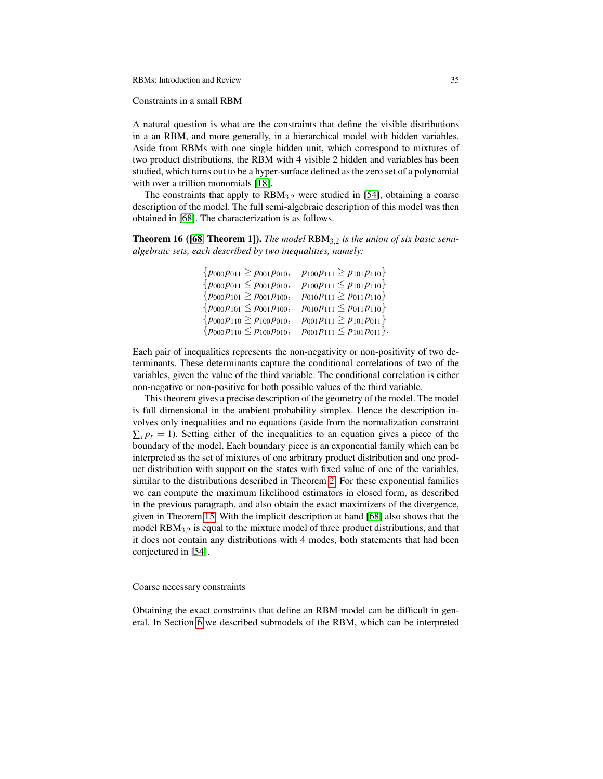Constraints in a small RBM

A natural question is what are the constraints that define the visible distributions in a an RBM, and more generally, in a hierarchical model with hidden variables. Aside from RBMs with one single hidden unit, which correspond to mixtures of two product distributions, the RBM with 4 visible 2 hidden and variables has been studied, which turns out to be a hyper-surface defined as the zero set of a polynomial with over a trillion monomials [\[18\]](#page-39-11).

The constraints that apply to  $RBM<sub>3.2</sub>$  were studied in [\[54\]](#page-41-7), obtaining a coarse description of the model. The full semi-algebraic description of this model was then obtained in [\[68\]](#page-41-6). The characterization is as follows.

<span id="page-36-0"></span>**Theorem 16 ([\[68,](#page-41-6) Theorem 1]).** *The model*  $RBM_3$  *is the union of six basic semialgebraic sets, each described by two inequalities, namely:*

| $\{p_{000}p_{011} \geq p_{001}p_{010}, p_{100}p_{111} \geq p_{101}p_{110}\}\$    |  |
|----------------------------------------------------------------------------------|--|
| $\{p_{000}p_{011}\leq p_{001}p_{010},\}$<br>$p_{100}p_{111} \leq p_{101}p_{110}$ |  |
| $\{p_{000}p_{101} \ge p_{001}p_{100}, p_{010}p_{111} \ge p_{011}p_{110}\}\$      |  |
| $\{p_{000}p_{101} \leq p_{001}p_{100}, p_{010}p_{111} \leq p_{011}p_{110}\}\$    |  |
| $p_{001}p_{111} \geq p_{101}p_{011}$<br>${p_{000}p_{110} \ge p_{100}p_{010}},$   |  |
| $\{p_{000}p_{110} \leq p_{100}p_{010}, p_{001}p_{111} \leq p_{101}p_{011}\}.$    |  |

Each pair of inequalities represents the non-negativity or non-positivity of two determinants. These determinants capture the conditional correlations of two of the variables, given the value of the third variable. The conditional correlation is either non-negative or non-positive for both possible values of the third variable.

This theorem gives a precise description of the geometry of the model. The model is full dimensional in the ambient probability simplex. Hence the description involves only inequalities and no equations (aside from the normalization constraint  $\sum_{x} p_{x} = 1$ ). Setting either of the inequalities to an equation gives a piece of the boundary of the model. Each boundary piece is an exponential family which can be interpreted as the set of mixtures of one arbitrary product distribution and one product distribution with support on the states with fixed value of one of the variables, similar to the distributions described in Theorem [2.](#page-25-2) For these exponential families we can compute the maximum likelihood estimators in closed form, as described in the previous paragraph, and also obtain the exact maximizers of the divergence, given in Theorem [15.](#page-34-1) With the implicit description at hand [\[68\]](#page-41-6) also shows that the model RBM3,<sup>2</sup> is equal to the mixture model of three product distributions, and that it does not contain any distributions with 4 modes, both statements that had been conjectured in [\[54\]](#page-41-7).

Coarse necessary constraints

Obtaining the exact constraints that define an RBM model can be difficult in general. In Section [6](#page-24-0) we described submodels of the RBM, which can be interpreted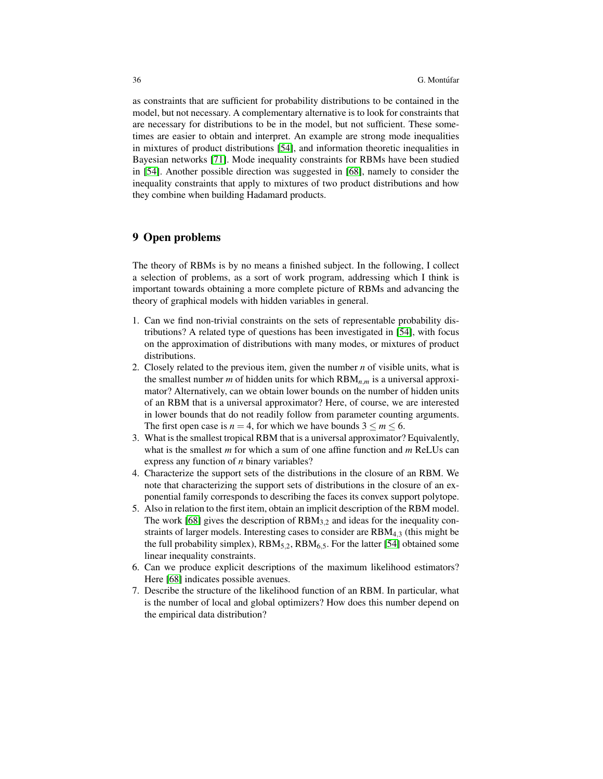as constraints that are sufficient for probability distributions to be contained in the model, but not necessary. A complementary alternative is to look for constraints that are necessary for distributions to be in the model, but not sufficient. These sometimes are easier to obtain and interpret. An example are strong mode inequalities in mixtures of product distributions [\[54\]](#page-41-7), and information theoretic inequalities in Bayesian networks [\[71\]](#page-41-23). Mode inequality constraints for RBMs have been studied in [\[54\]](#page-41-7). Another possible direction was suggested in [\[68\]](#page-41-6), namely to consider the inequality constraints that apply to mixtures of two product distributions and how they combine when building Hadamard products.

# <span id="page-37-0"></span>9 Open problems

The theory of RBMs is by no means a finished subject. In the following, I collect a selection of problems, as a sort of work program, addressing which I think is important towards obtaining a more complete picture of RBMs and advancing the theory of graphical models with hidden variables in general.

- 1. Can we find non-trivial constraints on the sets of representable probability distributions? A related type of questions has been investigated in [\[54\]](#page-41-7), with focus on the approximation of distributions with many modes, or mixtures of product distributions.
- 2. Closely related to the previous item, given the number *n* of visible units, what is the smallest number *m* of hidden units for which  $RBM_{n,m}$  is a universal approximator? Alternatively, can we obtain lower bounds on the number of hidden units of an RBM that is a universal approximator? Here, of course, we are interested in lower bounds that do not readily follow from parameter counting arguments. The first open case is  $n = 4$ , for which we have bounds  $3 \le m \le 6$ .
- 3. What is the smallest tropical RBM that is a universal approximator? Equivalently, what is the smallest *m* for which a sum of one affine function and *m* ReLUs can express any function of *n* binary variables?
- 4. Characterize the support sets of the distributions in the closure of an RBM. We note that characterizing the support sets of distributions in the closure of an exponential family corresponds to describing the faces its convex support polytope.
- 5. Also in relation to the first item, obtain an implicit description of the RBM model. The work [\[68\]](#page-41-6) gives the description of  $RBM<sub>3,2</sub>$  and ideas for the inequality constraints of larger models. Interesting cases to consider are  $RBM<sub>4,3</sub>$  (this might be the full probability simplex),  $RBM_{5,2}$ ,  $RBM_{6,5}$ . For the latter [\[54\]](#page-41-7) obtained some linear inequality constraints.
- 6. Can we produce explicit descriptions of the maximum likelihood estimators? Here [\[68\]](#page-41-6) indicates possible avenues.
- 7. Describe the structure of the likelihood function of an RBM. In particular, what is the number of local and global optimizers? How does this number depend on the empirical data distribution?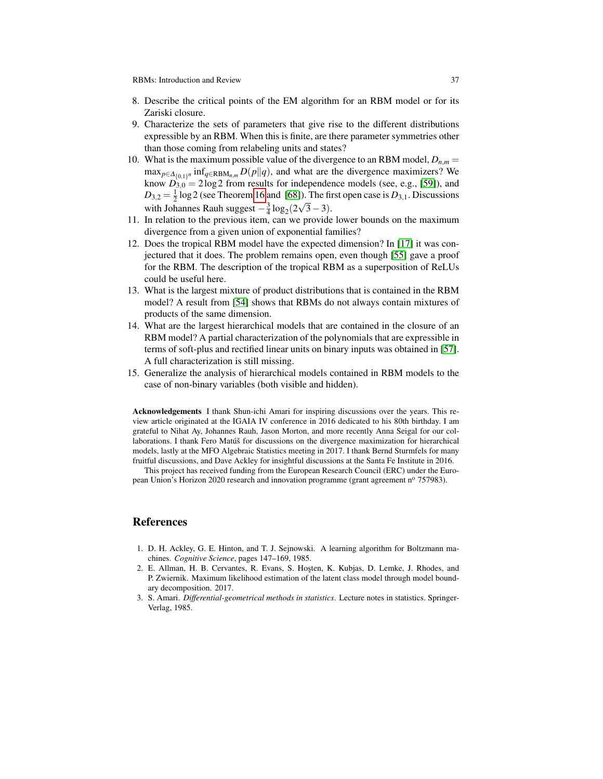- 8. Describe the critical points of the EM algorithm for an RBM model or for its Zariski closure.
- 9. Characterize the sets of parameters that give rise to the different distributions expressible by an RBM. When this is finite, are there parameter symmetries other than those coming from relabeling units and states?
- 10. What is the maximum possible value of the divergence to an RBM model,  $D_{n,m}$  $\max_{p \in \Delta\{0,1\}^n} \inf_{q \in \text{RBM}_{n,m}} D(p||q)$ , and what are the divergence maximizers? We know  $D_{3,0}^{0,1} = 2 \log 2$  from results for independence models (see, e.g., [\[59\]](#page-41-21)), and  $D_{3,2} = \frac{1}{2} \log 2$  (see Theorem [16](#page-36-0) and [\[68\]](#page-41-6)). The first open case is  $D_{3,1}$ . Discussions with Johannes Rauh suggest  $-\frac{3}{4} \log_2(2\sqrt{3}-3)$ .
- 11. In relation to the previous item, can we provide lower bounds on the maximum divergence from a given union of exponential families?
- 12. Does the tropical RBM model have the expected dimension? In [\[17\]](#page-39-10) it was conjectured that it does. The problem remains open, even though [\[55\]](#page-41-5) gave a proof for the RBM. The description of the tropical RBM as a superposition of ReLUs could be useful here.
- 13. What is the largest mixture of product distributions that is contained in the RBM model? A result from [\[54\]](#page-41-7) shows that RBMs do not always contain mixtures of products of the same dimension.
- 14. What are the largest hierarchical models that are contained in the closure of an RBM model? A partial characterization of the polynomials that are expressible in terms of soft-plus and rectified linear units on binary inputs was obtained in [\[57\]](#page-41-3). A full characterization is still missing.
- 15. Generalize the analysis of hierarchical models contained in RBM models to the case of non-binary variables (both visible and hidden).

Acknowledgements I thank Shun-ichi Amari for inspiring discussions over the years. This review article originated at the IGAIA IV conference in 2016 dedicated to his 80th birthday. I am grateful to Nihat Ay, Johannes Rauh, Jason Morton, and more recently Anna Seigal for our collaborations. I thank Fero Matúš for discussions on the divergence maximization for hierarchical models, lastly at the MFO Algebraic Statistics meeting in 2017. I thank Bernd Sturmfels for many fruitful discussions, and Dave Ackley for insightful discussions at the Santa Fe Institute in 2016.

This project has received funding from the European Research Council (ERC) under the European Union's Horizon 2020 research and innovation programme (grant agreement n<sup>o</sup> 757983).

# References

- <span id="page-38-0"></span>1. D. H. Ackley, G. E. Hinton, and T. J. Sejnowski. A learning algorithm for Boltzmann machines. *Cognitive Science*, pages 147–169, 1985.
- <span id="page-38-2"></span>2. E. Allman, H. B. Cervantes, R. Evans, S. Hosten, K. Kubjas, D. Lemke, J. Rhodes, and P. Zwiernik. Maximum likelihood estimation of the latent class model through model boundary decomposition. 2017.
- <span id="page-38-1"></span>3. S. Amari. *Differential-geometrical methods in statistics*. Lecture notes in statistics. Springer-Verlag, 1985.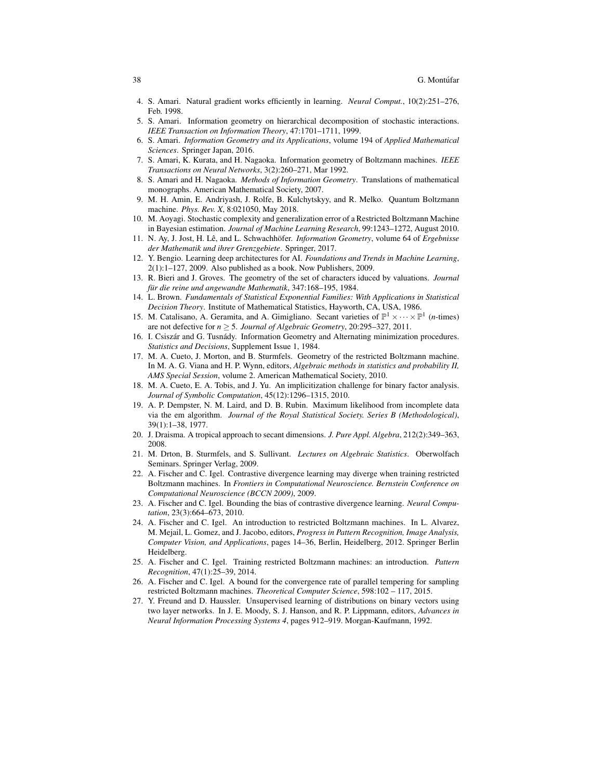- <span id="page-39-18"></span>4. S. Amari. Natural gradient works efficiently in learning. *Neural Comput.*, 10(2):251–276, Feb. 1998.
- <span id="page-39-1"></span>5. S. Amari. Information geometry on hierarchical decomposition of stochastic interactions. *IEEE Transaction on Information Theory*, 47:1701–1711, 1999.
- <span id="page-39-3"></span>6. S. Amari. *Information Geometry and its Applications*, volume 194 of *Applied Mathematical Sciences*. Springer Japan, 2016.
- <span id="page-39-6"></span>7. S. Amari, K. Kurata, and H. Nagaoka. Information geometry of Boltzmann machines. *IEEE Transactions on Neural Networks*, 3(2):260–271, Mar 1992.
- <span id="page-39-2"></span>8. S. Amari and H. Nagaoka. *Methods of Information Geometry*. Translations of mathematical monographs. American Mathematical Society, 2007.
- <span id="page-39-16"></span>9. M. H. Amin, E. Andriyash, J. Rolfe, B. Kulchytskyy, and R. Melko. Quantum Boltzmann machine. *Phys. Rev. X*, 8:021050, May 2018.
- <span id="page-39-14"></span>10. M. Aoyagi. Stochastic complexity and generalization error of a Restricted Boltzmann Machine in Bayesian estimation. *Journal of Machine Learning Research*, 99:1243–1272, August 2010.
- <span id="page-39-4"></span>11. N. Ay, J. Jost, H. Lê, and L. Schwachhöfer. *Information Geometry*, volume 64 of *Ergebnisse der Mathematik und ihrer Grenzgebiete*. Springer, 2017.
- <span id="page-39-8"></span>12. Y. Bengio. Learning deep architectures for AI. *Foundations and Trends in Machine Learning*, 2(1):1–127, 2009. Also published as a book. Now Publishers, 2009.
- <span id="page-39-22"></span>13. R. Bieri and J. Groves. The geometry of the set of characters iduced by valuations. *Journal für die reine und angewandte Mathematik*, 347:168-195, 1984.
- <span id="page-39-0"></span>14. L. Brown. *Fundamentals of Statistical Exponential Families: With Applications in Statistical Decision Theory*. Institute of Mathematical Statistics, Hayworth, CA, USA, 1986.
- <span id="page-39-23"></span>15. M. Catalisano, A. Geramita, and A. Gimigliano. Secant varieties of  $\mathbb{P}^1 \times \cdots \times \mathbb{P}^1$  (*n*-times) are not defective for  $n \geq 5$ . *Journal of Algebraic Geometry*, 20:295–327, 2011.
- <span id="page-39-19"></span>16. I. Csiszár and G. Tusnády. Information Geometry and Alternating minimization procedures. *Statistics and Decisions*, Supplement Issue 1, 1984.
- <span id="page-39-10"></span>17. M. A. Cueto, J. Morton, and B. Sturmfels. Geometry of the restricted Boltzmann machine. In M. A. G. Viana and H. P. Wynn, editors, *Algebraic methods in statistics and probability II, AMS Special Session*, volume 2. American Mathematical Society, 2010.
- <span id="page-39-11"></span>18. M. A. Cueto, E. A. Tobis, and J. Yu. An implicitization challenge for binary factor analysis. *Journal of Symbolic Computation*, 45(12):1296–1315, 2010.
- <span id="page-39-20"></span>19. A. P. Dempster, N. M. Laird, and D. B. Rubin. Maximum likelihood from incomplete data via the em algorithm. *Journal of the Royal Statistical Society. Series B (Methodological)*, 39(1):1–38, 1977.
- <span id="page-39-21"></span>20. J. Draisma. A tropical approach to secant dimensions. *J. Pure Appl. Algebra*, 212(2):349–363, 2008.
- <span id="page-39-5"></span>21. M. Drton, B. Sturmfels, and S. Sullivant. *Lectures on Algebraic Statistics*. Oberwolfach Seminars. Springer Verlag, 2009.
- <span id="page-39-15"></span>22. A. Fischer and C. Igel. Contrastive divergence learning may diverge when training restricted Boltzmann machines. In *Frontiers in Computational Neuroscience. Bernstein Conference on Computational Neuroscience (BCCN 2009)*, 2009.
- <span id="page-39-12"></span>23. A. Fischer and C. Igel. Bounding the bias of contrastive divergence learning. *Neural Computation*, 23(3):664–673, 2010.
- <span id="page-39-9"></span>24. A. Fischer and C. Igel. An introduction to restricted Boltzmann machines. In L. Alvarez, M. Mejail, L. Gomez, and J. Jacobo, editors, *Progress in Pattern Recognition, Image Analysis, Computer Vision, and Applications*, pages 14–36, Berlin, Heidelberg, 2012. Springer Berlin Heidelberg.
- <span id="page-39-17"></span>25. A. Fischer and C. Igel. Training restricted Boltzmann machines: an introduction. *Pattern Recognition*, 47(1):25–39, 2014.
- <span id="page-39-13"></span>26. A. Fischer and C. Igel. A bound for the convergence rate of parallel tempering for sampling restricted Boltzmann machines. *Theoretical Computer Science*, 598:102 – 117, 2015.
- <span id="page-39-7"></span>27. Y. Freund and D. Haussler. Unsupervised learning of distributions on binary vectors using two layer networks. In J. E. Moody, S. J. Hanson, and R. P. Lippmann, editors, *Advances in Neural Information Processing Systems 4*, pages 912–919. Morgan-Kaufmann, 1992.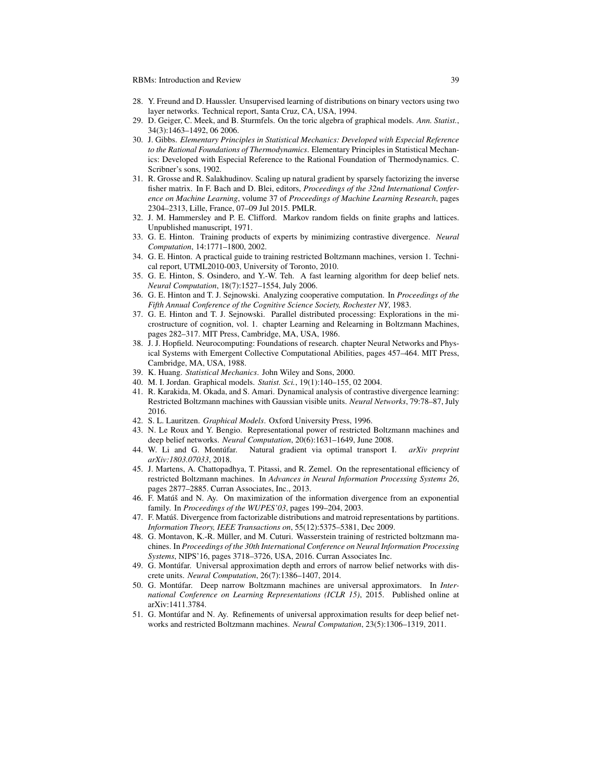- <span id="page-40-19"></span>28. Y. Freund and D. Haussler. Unsupervised learning of distributions on binary vectors using two layer networks. Technical report, Santa Cruz, CA, USA, 1994.
- <span id="page-40-23"></span>29. D. Geiger, C. Meek, and B. Sturmfels. On the toric algebra of graphical models. *Ann. Statist.*, 34(3):1463–1492, 06 2006.
- <span id="page-40-4"></span>30. J. Gibbs. *Elementary Principles in Statistical Mechanics: Developed with Especial Reference to the Rational Foundations of Thermodynamics*. Elementary Principles in Statistical Mechanics: Developed with Especial Reference to the Rational Foundation of Thermodynamics. C. Scribner's sons, 1902.
- <span id="page-40-16"></span>31. R. Grosse and R. Salakhudinov. Scaling up natural gradient by sparsely factorizing the inverse fisher matrix. In F. Bach and D. Blei, editors, *Proceedings of the 32nd International Conference on Machine Learning*, volume 37 of *Proceedings of Machine Learning Research*, pages 2304–2313, Lille, France, 07–09 Jul 2015. PMLR.
- <span id="page-40-22"></span>32. J. M. Hammersley and P. E. Clifford. Markov random fields on finite graphs and lattices. Unpublished manuscript, 1971.
- <span id="page-40-14"></span>33. G. E. Hinton. Training products of experts by minimizing contrastive divergence. *Neural Computation*, 14:1771–1800, 2002.
- <span id="page-40-15"></span>34. G. E. Hinton. A practical guide to training restricted Boltzmann machines, version 1. Technical report, UTML2010-003, University of Toronto, 2010.
- <span id="page-40-7"></span>35. G. E. Hinton, S. Osindero, and Y.-W. Teh. A fast learning algorithm for deep belief nets. *Neural Computation*, 18(7):1527–1554, July 2006.
- <span id="page-40-0"></span>36. G. E. Hinton and T. J. Sejnowski. Analyzing cooperative computation. In *Proceedings of the Fifth Annual Conference of the Cognitive Science Society, Rochester NY*, 1983.
- <span id="page-40-1"></span>37. G. E. Hinton and T. J. Sejnowski. Parallel distributed processing: Explorations in the microstructure of cognition, vol. 1. chapter Learning and Relearning in Boltzmann Machines, pages 282–317. MIT Press, Cambridge, MA, USA, 1986.
- <span id="page-40-2"></span>38. J. J. Hopfield. Neurocomputing: Foundations of research. chapter Neural Networks and Physical Systems with Emergent Collective Computational Abilities, pages 457–464. MIT Press, Cambridge, MA, USA, 1988.
- <span id="page-40-3"></span>39. K. Huang. *Statistical Mechanics*. John Wiley and Sons, 2000.
- <span id="page-40-6"></span>40. M. I. Jordan. Graphical models. *Statist. Sci.*, 19(1):140–155, 02 2004.
- <span id="page-40-10"></span>41. R. Karakida, M. Okada, and S. Amari. Dynamical analysis of contrastive divergence learning: Restricted Boltzmann machines with Gaussian visible units. *Neural Networks*, 79:78–87, July 2016.
- <span id="page-40-5"></span>42. S. L. Lauritzen. *Graphical Models*. Oxford University Press, 1996.
- <span id="page-40-8"></span>43. N. Le Roux and Y. Bengio. Representational power of restricted Boltzmann machines and deep belief networks. *Neural Computation*, 20(6):1631–1649, June 2008.
- <span id="page-40-18"></span>44. W. Li and G. Montufar. Natural gradient via optimal transport I. ´ *arXiv preprint arXiv:1803.07033*, 2018.
- <span id="page-40-9"></span>45. J. Martens, A. Chattopadhya, T. Pitassi, and R. Zemel. On the representational efficiency of restricted Boltzmann machines. In *Advances in Neural Information Processing Systems 26*, pages 2877–2885. Curran Associates, Inc., 2013.
- <span id="page-40-21"></span>46. F. Matúš and N. Ay. On maximization of the information divergence from an exponential family. In *Proceedings of the WUPES'03*, pages 199–204, 2003.
- <span id="page-40-20"></span>47. F. Matúš. Divergence from factorizable distributions and matroid representations by partitions. *Information Theory, IEEE Transactions on*, 55(12):5375–5381, Dec 2009.
- <span id="page-40-17"></span>48. G. Montavon, K.-R. Müller, and M. Cuturi. Wasserstein training of restricted boltzmann machines. In *Proceedings of the 30th International Conference on Neural Information Processing Systems*, NIPS'16, pages 3718–3726, USA, 2016. Curran Associates Inc.
- <span id="page-40-12"></span>49. G. Montúfar. Universal approximation depth and errors of narrow belief networks with discrete units. *Neural Computation*, 26(7):1386–1407, 2014.
- <span id="page-40-13"></span>50. G. Montúfar. Deep narrow Boltzmann machines are universal approximators. In *International Conference on Learning Representations (ICLR 15)*, 2015. Published online at arXiv:1411.3784.
- <span id="page-40-11"></span>51. G. Montufar and N. Ay. Refinements of universal approximation results for deep belief net- ´ works and restricted Boltzmann machines. *Neural Computation*, 23(5):1306–1319, 2011.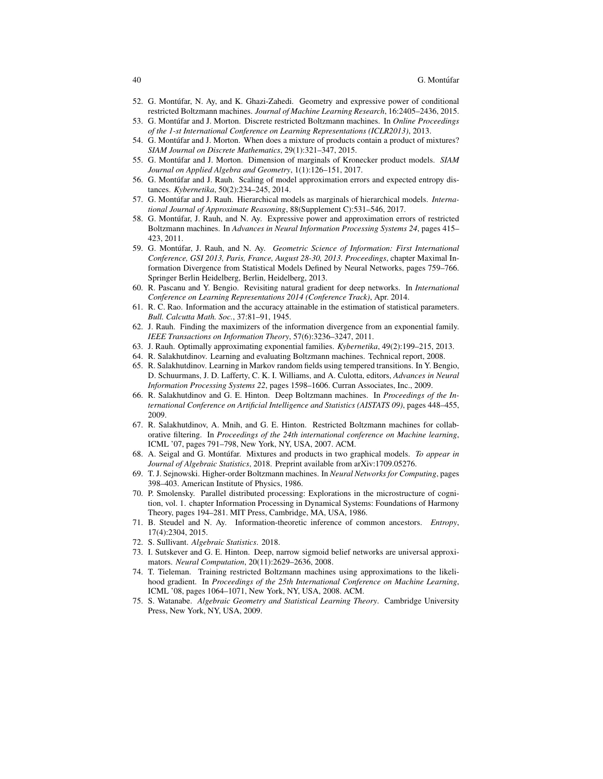- <span id="page-41-13"></span>52. G. Montufar, N. Ay, and K. Ghazi-Zahedi. Geometry and expressive power of conditional ´ restricted Boltzmann machines. *Journal of Machine Learning Research*, 16:2405–2436, 2015.
- <span id="page-41-4"></span>53. G. Montufar and J. Morton. Discrete restricted Boltzmann machines. In ´ *Online Proceedings of the 1-st International Conference on Learning Representations (ICLR2013)*, 2013.
- <span id="page-41-7"></span>54. G. Montufar and J. Morton. When does a mixture of products contain a product of mixtures? *SIAM Journal on Discrete Mathematics*, 29(1):321–347, 2015.
- <span id="page-41-5"></span>55. G. Montufar and J. Morton. Dimension of marginals of Kronecker product models. ´ *SIAM Journal on Applied Algebra and Geometry*, 1(1):126–151, 2017.
- <span id="page-41-22"></span>56. G. Montufar and J. Rauh. Scaling of model approximation errors and expected entropy dis- ´ tances. *Kybernetika*, 50(2):234–245, 2014.
- <span id="page-41-3"></span>57. G. Montúfar and J. Rauh. Hierarchical models as marginals of hierarchical models. *International Journal of Approximate Reasoning*, 88(Supplement C):531–546, 2017.
- <span id="page-41-2"></span>58. G. Montúfar, J. Rauh, and N. Ay. Expressive power and approximation errors of restricted Boltzmann machines. In *Advances in Neural Information Processing Systems 24*, pages 415– 423, 2011.
- <span id="page-41-21"></span>59. G. Montufar, J. Rauh, and N. Ay. ´ *Geometric Science of Information: First International Conference, GSI 2013, Paris, France, August 28-30, 2013. Proceedings*, chapter Maximal Information Divergence from Statistical Models Defined by Neural Networks, pages 759–766. Springer Berlin Heidelberg, Berlin, Heidelberg, 2013.
- <span id="page-41-18"></span>60. R. Pascanu and Y. Bengio. Revisiting natural gradient for deep networks. In *International Conference on Learning Representations 2014 (Conference Track)*, Apr. 2014.
- <span id="page-41-16"></span>61. R. C. Rao. Information and the accuracy attainable in the estimation of statistical parameters. *Bull. Calcutta Math. Soc.*, 37:81–91, 1945.
- <span id="page-41-20"></span>62. J. Rauh. Finding the maximizers of the information divergence from an exponential family. *IEEE Transactions on Information Theory*, 57(6):3236–3247, 2011.
- <span id="page-41-19"></span>63. J. Rauh. Optimally approximating exponential families. *Kybernetika*, 49(2):199–215, 2013.
- <span id="page-41-8"></span>64. R. Salakhutdinov. Learning and evaluating Boltzmann machines. Technical report, 2008.
- <span id="page-41-15"></span>65. R. Salakhutdinov. Learning in Markov random fields using tempered transitions. In Y. Bengio, D. Schuurmans, J. D. Lafferty, C. K. I. Williams, and A. Culotta, editors, *Advances in Neural Information Processing Systems 22*, pages 1598–1606. Curran Associates, Inc., 2009.
- <span id="page-41-11"></span>66. R. Salakhutdinov and G. E. Hinton. Deep Boltzmann machines. In *Proceedings of the International Conference on Artificial Intelligence and Statistics (AISTATS 09)*, pages 448–455, 2009.
- <span id="page-41-9"></span>67. R. Salakhutdinov, A. Mnih, and G. E. Hinton. Restricted Boltzmann machines for collaborative filtering. In *Proceedings of the 24th international conference on Machine learning*, ICML '07, pages 791–798, New York, NY, USA, 2007. ACM.
- <span id="page-41-6"></span>68. A. Seigal and G. Montufar. Mixtures and products in two graphical models. ´ *To appear in Journal of Algebraic Statistics*, 2018. Preprint available from arXiv:1709.05276.
- <span id="page-41-10"></span>69. T. J. Sejnowski. Higher-order Boltzmann machines. In *Neural Networks for Computing*, pages 398–403. American Institute of Physics, 1986.
- <span id="page-41-1"></span>70. P. Smolensky. Parallel distributed processing: Explorations in the microstructure of cognition, vol. 1. chapter Information Processing in Dynamical Systems: Foundations of Harmony Theory, pages 194–281. MIT Press, Cambridge, MA, USA, 1986.
- <span id="page-41-23"></span>71. B. Steudel and N. Ay. Information-theoretic inference of common ancestors. *Entropy*, 17(4):2304, 2015.
- <span id="page-41-0"></span>72. S. Sullivant. *Algebraic Statistics*. 2018.
- <span id="page-41-12"></span>73. I. Sutskever and G. E. Hinton. Deep, narrow sigmoid belief networks are universal approximators. *Neural Computation*, 20(11):2629–2636, 2008.
- <span id="page-41-14"></span>74. T. Tieleman. Training restricted Boltzmann machines using approximations to the likelihood gradient. In *Proceedings of the 25th International Conference on Machine Learning*, ICML '08, pages 1064–1071, New York, NY, USA, 2008. ACM.
- <span id="page-41-17"></span>75. S. Watanabe. *Algebraic Geometry and Statistical Learning Theory*. Cambridge University Press, New York, NY, USA, 2009.